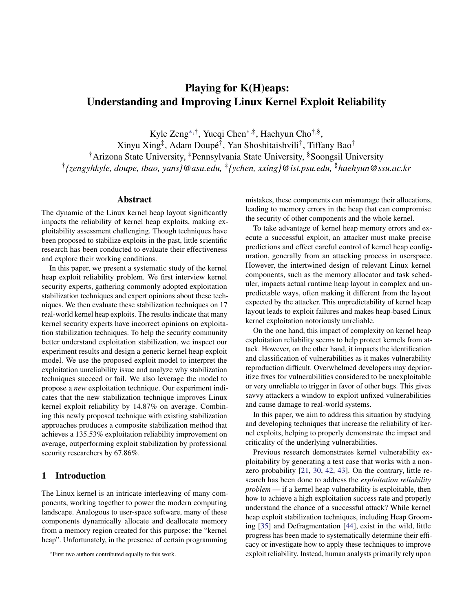# Playing for K(H)eaps: Understanding and Improving Linux Kernel Exploit Reliability

Kyle Zeng<sup>∗,†</sup>, Yueqi Chen<sup>∗,‡</sup>, Haehyun Cho<sup>†,§</sup>, Xinyu Xing‡ , Adam Doupé† , Yan Shoshitaishvili† , Tiffany Bao†

†Arizona State University, ‡Pennsylvania State University, §Soongsil University † *{zengyhkyle, doupe, tbao, yans}@asu.edu,* ‡ *{ychen, xxing}@ist.psu.edu,* §*haehyun@ssu.ac.kr*

## Abstract

The dynamic of the Linux kernel heap layout significantly impacts the reliability of kernel heap exploits, making exploitability assessment challenging. Though techniques have been proposed to stabilize exploits in the past, little scientific research has been conducted to evaluate their effectiveness and explore their working conditions.

In this paper, we present a systematic study of the kernel heap exploit reliability problem. We first interview kernel security experts, gathering commonly adopted exploitation stabilization techniques and expert opinions about these techniques. We then evaluate these stabilization techniques on 17 real-world kernel heap exploits. The results indicate that many kernel security experts have incorrect opinions on exploitation stabilization techniques. To help the security community better understand exploitation stabilization, we inspect our experiment results and design a generic kernel heap exploit model. We use the proposed exploit model to interpret the exploitation unreliability issue and analyze why stabilization techniques succeed or fail. We also leverage the model to propose a *new* exploitation technique. Our experiment indicates that the new stabilization technique improves Linux kernel exploit reliability by 14.87% on average. Combining this newly proposed technique with existing stabilization approaches produces a composite stabilization method that achieves a 135.53% exploitation reliability improvement on average, outperforming exploit stabilization by professional security researchers by 67.86%.

# 1 Introduction

The Linux kernel is an intricate interleaving of many components, working together to power the modern computing landscape. Analogous to user-space software, many of these components dynamically allocate and deallocate memory from a memory region created for this purpose: the "kernel heap". Unfortunately, in the presence of certain programming

mistakes, these components can mismanage their allocations, leading to memory errors in the heap that can compromise the security of other components and the whole kernel.

To take advantage of kernel heap memory errors and execute a successful exploit, an attacker must make precise predictions and effect careful control of kernel heap configuration, generally from an attacking process in userspace. However, the intertwined design of relevant Linux kernel components, such as the memory allocator and task scheduler, impacts actual runtime heap layout in complex and unpredictable ways, often making it different from the layout expected by the attacker. This unpredictability of kernel heap layout leads to exploit failures and makes heap-based Linux kernel exploitation notoriously unreliable.

On the one hand, this impact of complexity on kernel heap exploitation reliability seems to help protect kernels from attack. However, on the other hand, it impacts the identification and classification of vulnerabilities as it makes vulnerability reproduction difficult. Overwhelmed developers may deprioritize fixes for vulnerabilities considered to be unexploitable or very unreliable to trigger in favor of other bugs. This gives savvy attackers a window to exploit unfixed vulnerabilities and cause damage to real-world systems.

In this paper, we aim to address this situation by studying and developing techniques that increase the reliability of kernel exploits, helping to properly demonstrate the impact and criticality of the underlying vulnerabilities.

Previous research demonstrates kernel vulnerability exploitability by generating a test case that works with a nonzero probability [\[21,](#page-14-0) [30,](#page-14-1) [42,](#page-15-0) [43\]](#page-15-1). On the contrary, little research has been done to address the *exploitation reliability problem* — if a kernel heap vulnerability is exploitable, then how to achieve a high exploitation success rate and properly understand the chance of a successful attack? While kernel heap exploit stabilization techniques, including Heap Grooming [\[35\]](#page-15-2) and Defragmentation [\[44\]](#page-15-3), exist in the wild, little progress has been made to systematically determine their efficacy or investigate how to apply these techniques to improve exploit reliability. Instead, human analysts primarily rely upon

<sup>∗</sup>First two authors contributed equally to this work.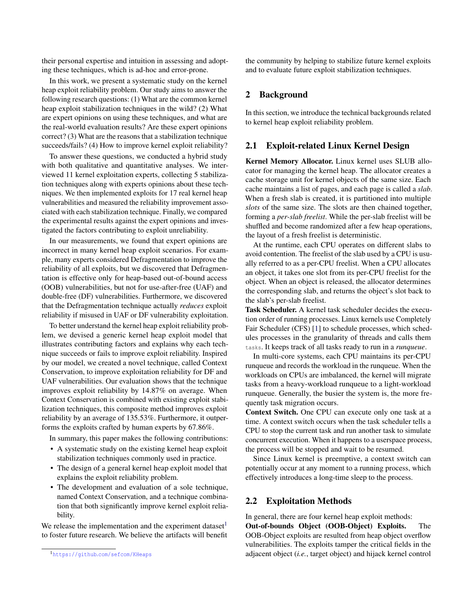their personal expertise and intuition in assessing and adopting these techniques, which is ad-hoc and error-prone.

In this work, we present a systematic study on the kernel heap exploit reliability problem. Our study aims to answer the following research questions: (1) What are the common kernel heap exploit stabilization techniques in the wild? (2) What are expert opinions on using these techniques, and what are the real-world evaluation results? Are these expert opinions correct? (3) What are the reasons that a stabilization technique succeeds/fails? (4) How to improve kernel exploit reliability?

To answer these questions, we conducted a hybrid study with both qualitative and quantitative analyses. We interviewed 11 kernel exploitation experts, collecting 5 stabilization techniques along with experts opinions about these techniques. We then implemented exploits for 17 real kernel heap vulnerabilities and measured the reliability improvement associated with each stabilization technique. Finally, we compared the experimental results against the expert opinions and investigated the factors contributing to exploit unreliability.

In our measurements, we found that expert opinions are incorrect in many kernel heap exploit scenarios. For example, many experts considered Defragmentation to improve the reliability of all exploits, but we discovered that Defragmentation is effective only for heap-based out-of-bound access (OOB) vulnerabilities, but not for use-after-free (UAF) and double-free (DF) vulnerabilities. Furthermore, we discovered that the Defragmentation technique actually *reduces* exploit reliability if misused in UAF or DF vulnerability exploitation.

To better understand the kernel heap exploit reliability problem, we devised a generic kernel heap exploit model that illustrates contributing factors and explains why each technique succeeds or fails to improve exploit reliability. Inspired by our model, we created a novel technique, called Context Conservation, to improve exploitation reliability for DF and UAF vulnerabilities. Our evaluation shows that the technique improves exploit reliability by 14.87% on average. When Context Conservation is combined with existing exploit stabilization techniques, this composite method improves exploit reliability by an average of 135.53%. Furthermore, it outperforms the exploits crafted by human experts by 67.86%.

In summary, this paper makes the following contributions:

- A systematic study on the existing kernel heap exploit stabilization techniques commonly used in practice.
- The design of a general kernel heap exploit model that explains the exploit reliability problem.
- The development and evaluation of a sole technique, named Context Conservation, and a technique combination that both significantly improve kernel exploit reliability.

We release the implementation and the experiment dataset $<sup>1</sup>$  $<sup>1</sup>$  $<sup>1</sup>$ </sup> to foster future research. We believe the artifacts will benefit <span id="page-1-1"></span>the community by helping to stabilize future kernel exploits and to evaluate future exploit stabilization techniques.

#### 2 Background

<span id="page-1-3"></span>In this section, we introduce the technical backgrounds related to kernel heap exploit reliability problem.

### 2.1 Exploit-related Linux Kernel Design

Kernel Memory Allocator. Linux kernel uses SLUB allocator for managing the kernel heap. The allocator creates a cache storage unit for kernel objects of the same size. Each cache maintains a list of pages, and each page is called a *slab*. When a fresh slab is created, it is partitioned into multiple *slots* of the same size. The slots are then chained together, forming a *per-slab freelist*. While the per-slab freelist will be shuffled and become randomized after a few heap operations, the layout of a fresh freelist is deterministic.

At the runtime, each CPU operates on different slabs to avoid contention. The freelist of the slab used by a CPU is usually referred to as a per-CPU freelist. When a CPU allocates an object, it takes one slot from its per-CPU freelist for the object. When an object is released, the allocator determines the corresponding slab, and returns the object's slot back to the slab's per-slab freelist.

Task Scheduler. A kernel task scheduler decides the execution order of running processes. Linux kernels use Completely Fair Scheduler (CFS) [\[1\]](#page-14-2) to schedule processes, which schedules processes in the granularity of threads and calls them tasks. It keeps track of all tasks ready to run in a *runqueue*.

In multi-core systems, each CPU maintains its per-CPU runqueue and records the workload in the runqueue. When the workloads on CPUs are imbalanced, the kernel will migrate tasks from a heavy-workload runqueue to a light-workload runqueue. Generally, the busier the system is, the more frequently task migration occurs.

Context Switch. One CPU can execute only one task at a time. A context switch occurs when the task scheduler tells a CPU to stop the current task and run another task to simulate concurrent execution. When it happens to a userspace process, the process will be stopped and wait to be resumed.

Since Linux kernel is preemptive, a context switch can potentially occur at any moment to a running process, which effectively introduces a long-time sleep to the process.

#### <span id="page-1-2"></span>2.2 Exploitation Methods

In general, there are four kernel heap exploit methods:

Out-of-bounds Object (OOB-Object) Exploits. The OOB-Object exploits are resulted from heap object overflow vulnerabilities. The exploits tamper the critical fields in the adjacent object (*i.e.*, target object) and hijack kernel control

<span id="page-1-0"></span><sup>1</sup>https://github.[com/sefcom/KHeaps](https://github.com/sefcom/KHeaps)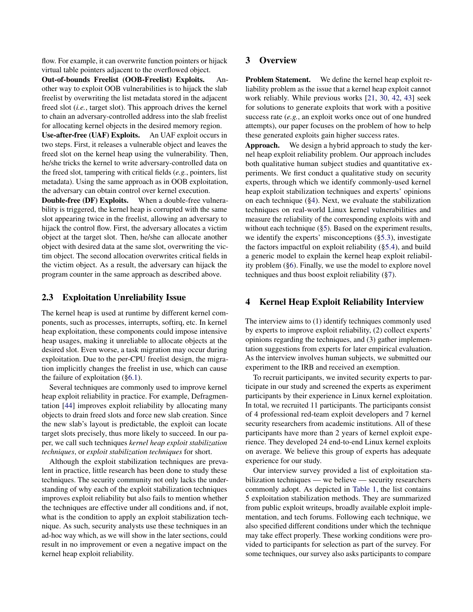flow. For example, it can overwrite function pointers or hijack virtual table pointers adjacent to the overflowed object.

Out-of-bounds Freelist (OOB-Freelist) Exploits. Another way to exploit OOB vulnerabilities is to hijack the slab freelist by overwriting the list metadata stored in the adjacent freed slot (*i.e.*, target slot). This approach drives the kernel to chain an adversary-controlled address into the slab freelist for allocating kernel objects in the desired memory region.

Use-after-free (UAF) Exploits. An UAF exploit occurs in two steps. First, it releases a vulnerable object and leaves the freed slot on the kernel heap using the vulnerability. Then, he/she tricks the kernel to write adversary-controlled data on the freed slot, tampering with critical fields (*e.g.*, pointers, list metadata). Using the same approach as in OOB exploitation, the adversary can obtain control over kernel execution.

Double-free (DF) Exploits. When a double-free vulnerability is triggered, the kernel heap is corrupted with the same slot appearing twice in the freelist, allowing an adversary to hijack the control flow. First, the adversary allocates a victim object at the target slot. Then, he/she can allocate another object with desired data at the same slot, overwriting the victim object. The second allocation overwrites critical fields in the victim object. As a result, the adversary can hijack the program counter in the same approach as described above.

## 2.3 Exploitation Unreliability Issue

The kernel heap is used at runtime by different kernel components, such as processes, interrupts, softirq, etc. In kernel heap exploitation, these components could impose intensive heap usages, making it unreliable to allocate objects at the desired slot. Even worse, a task migration may occur during exploitation. Due to the per-CPU freelist design, the migration implicitly changes the freelist in use, which can cause the failure of exploitation ([§6.1\)](#page-8-0).

Several techniques are commonly used to improve kernel heap exploit reliability in practice. For example, Defragmentation [\[44\]](#page-15-3) improves exploit reliability by allocating many objects to drain freed slots and force new slab creation. Since the new slab's layout is predictable, the exploit can locate target slots precisely, thus more likely to succeed. In our paper, we call such techniques *kernel heap exploit stabilization techniques*, or *exploit stabilization techniques* for short.

Although the exploit stabilization techniques are prevalent in practice, little research has been done to study these techniques. The security community not only lacks the understanding of why each of the exploit stabilization techniques improves exploit reliability but also fails to mention whether the techniques are effective under all conditions and, if not, what is the condition to apply an exploit stabilization technique. As such, security analysts use these techniques in an ad-hoc way which, as we will show in the later sections, could result in no improvement or even a negative impact on the kernel heap exploit reliability.

## 3 Overview

Problem Statement. We define the kernel heap exploit reliability problem as the issue that a kernel heap exploit cannot work reliably. While previous works [\[21,](#page-14-0) [30,](#page-14-1) [42,](#page-15-0) [43\]](#page-15-1) seek for solutions to generate exploits that work with a positive success rate (*e.g.*, an exploit works once out of one hundred attempts), our paper focuses on the problem of how to help these generated exploits gain higher success rates.

Approach. We design a hybrid approach to study the kernel heap exploit reliability problem. Our approach includes both qualitative human subject studies and quantitative experiments. We first conduct a qualitative study on security experts, through which we identify commonly-used kernel heap exploit stabilization techniques and experts' opinions on each technique ([§4\)](#page-2-0). Next, we evaluate the stabilization techniques on real-world Linux kernel vulnerabilities and measure the reliability of the corresponding exploits with and without each technique ([§5\)](#page-4-0). Based on the experiment results, we identify the experts' misconceptions ([§5.3\)](#page-6-0), investigate the factors impactful on exploit reliability ([§5.4\)](#page-7-0), and build a generic model to explain the kernel heap exploit reliability problem ([§6\)](#page-7-1). Finally, we use the model to explore novel techniques and thus boost exploit reliability ([§7\)](#page-9-0).

# <span id="page-2-0"></span>4 Kernel Heap Exploit Reliability Interview

The interview aims to (1) identify techniques commonly used by experts to improve exploit reliability, (2) collect experts' opinions regarding the techniques, and (3) gather implementation suggestions from experts for later empirical evaluation. As the interview involves human subjects, we submitted our experiment to the IRB and received an exemption.

To recruit participants, we invited security experts to participate in our study and screened the experts as experiment participants by their experience in Linux kernel exploitation. In total, we recruited 11 participants. The participants consist of 4 professional red-team exploit developers and 7 kernel security researchers from academic institutions. All of these participants have more than 2 years of kernel exploit experience. They developed 24 end-to-end Linux kernel exploits on average. We believe this group of experts has adequate experience for our study.

Our interview survey provided a list of exploitation stabilization techniques — we believe — security researchers commonly adopt. As depicted in [Table 1,](#page-3-0) the list contains 5 exploitation stabilization methods. They are summarized from public exploit writeups, broadly available exploit implementation, and tech forums. Following each technique, we also specified different conditions under which the technique may take effect properly. These working conditions were provided to participants for selection as part of the survey. For some techniques, our survey also asks participants to compare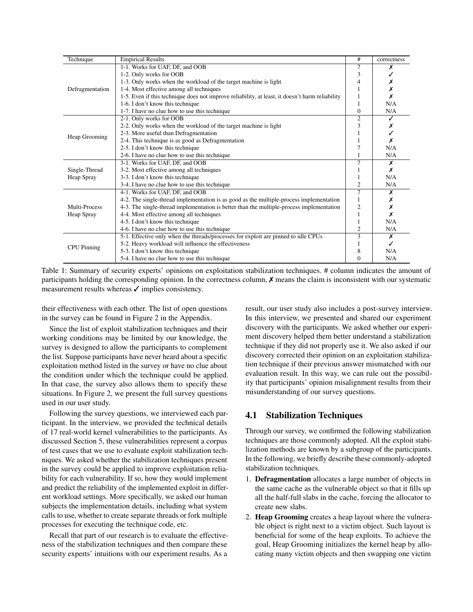<span id="page-3-0"></span>

| Technique          | <b>Empirical Results</b>                                                                        | #              | correctness |
|--------------------|-------------------------------------------------------------------------------------------------|----------------|-------------|
|                    | 1-1. Works for UAF, DF, and OOB                                                                 |                |             |
|                    | 1-2. Only works for OOB                                                                         | 3              |             |
|                    | 1-3. Only works when the workload of the target machine is light                                |                |             |
| Defragmentation    | 1-4. Most effective among all techniques                                                        |                |             |
|                    | 1-5. Even if this technique does not improve reliability, at least, it doesn't harm reliability |                |             |
|                    | 1-6. I don't know this technique                                                                |                | N/A         |
|                    | 1-7. I have no clue how to use this technique                                                   | $\Omega$       | N/A         |
|                    | 2-1. Only works for OOB                                                                         | $\overline{c}$ |             |
|                    | 2-2. Only works when the workload of the target machine is light                                |                |             |
|                    | 2-3. More useful than Defragmentation                                                           |                |             |
| Heap Grooming      | 2-4. This technique is as good as Defragmentation                                               |                |             |
|                    | 2-5. I don't know this technique                                                                |                | N/A         |
|                    | 2-6. I have no clue how to use this technique                                                   |                | N/A         |
|                    | 3-1. Works for UAF, DF, and OOB                                                                 | 7              | Х           |
| Single-Thread      | 3-2. Most effective among all techniques                                                        |                | х           |
| Heap Spray         | 3-3. I don't know this technique                                                                |                | N/A         |
|                    | 3-4. I have no clue how to use this technique                                                   | 2              | N/A         |
|                    | 4-1. Works for UAF, DF, and OOB                                                                 |                | х           |
|                    | 4-2. The single-thread implementation is as good as the multiple-process implementation         |                |             |
| Multi-Process      | 4-3. The single-thread implementation is better than the multiple-process implementation        | 2              |             |
| Heap Spray         | 4-4. Most effective among all techniques                                                        |                | х           |
|                    | 4-5. I don't know this technique                                                                |                | N/A         |
|                    | 4-6. I have no clue how to use this technique                                                   | 2              | N/A         |
|                    | 5-1. Effective only when the threads/processes for exploit are pinned to idle CPUs              | 3              | х           |
| <b>CPU</b> Pinning | 5-2. Heavy workload will influence the effectiveness                                            |                |             |
|                    | 5-3. I don't know this technique                                                                | 8              | N/A         |
|                    | 5-4. I have no clue how to use this technique                                                   | 0              | N/A         |

Table 1: Summary of security experts' opinions on exploitation stabilization techniques. # column indicates the amount of participants holding the corresponding opinion. In the correctness column,  $\chi$  means the claim is inconsistent with our systematic measurement results whereas  $\checkmark$  implies consistency.

their effectiveness with each other. The list of open questions in the survey can be found in Figure [2](#page-16-0) in the Appendix.

Since the list of exploit stabilization techniques and their working conditions may be limited by our knowledge, the survey is designed to allow the participants to complement the list. Suppose participants have never heard about a specific exploitation method listed in the survey or have no clue about the condition under which the technique could be applied. In that case, the survey also allows them to specify these situations. In Figure [2,](#page-16-0) we present the full survey questions used in our user study.

Following the survey questions, we interviewed each participant. In the interview, we provided the technical details of 17 real-world kernel vulnerabilities to the participants. As discussed Section [5,](#page-4-0) these vulnerabilities represent a corpus of test cases that we use to evaluate exploit stabilization techniques. We asked whether the stabilization techniques present in the survey could be applied to improve exploitation reliability for each vulnerability. If so, how they would implement and predict the reliability of the implemented exploit in different workload settings. More specifically, we asked our human subjects the implementation details, including what system calls to use, whether to create separate threads or fork multiple processes for executing the technique code, etc.

Recall that part of our research is to evaluate the effectiveness of the stabilization techniques and then compare these security experts' intuitions with our experiment results. As a

result, our user study also includes a post-survey interview. In this interview, we presented and shared our experiment discovery with the participants. We asked whether our experiment discovery helped them better understand a stabilization technique if they did not properly use it. We also asked if our discovery corrected their opinion on an exploitation stabilization technique if their previous answer mismatched with our evaluation result. In this way, we can rule out the possibility that participants' opinion misalignment results from their misunderstanding of our survey questions.

## 4.1 Stabilization Techniques

Through our survey, we confirmed the following stabilization techniques are those commonly adopted. All the exploit stabilization methods are known by a subgroup of the participants. In the following, we briefly describe these commonly-adopted stabilization techniques.

- 1. Defragmentation allocates a large number of objects in the same cache as the vulnerable object so that it fills up all the half-full slabs in the cache, forcing the allocator to create new slabs.
- 2. Heap Grooming creates a heap layout where the vulnerable object is right next to a victim object. Such layout is beneficial for some of the heap exploits. To achieve the goal, Heap Grooming initializes the kernel heap by allocating many victim objects and then swapping one victim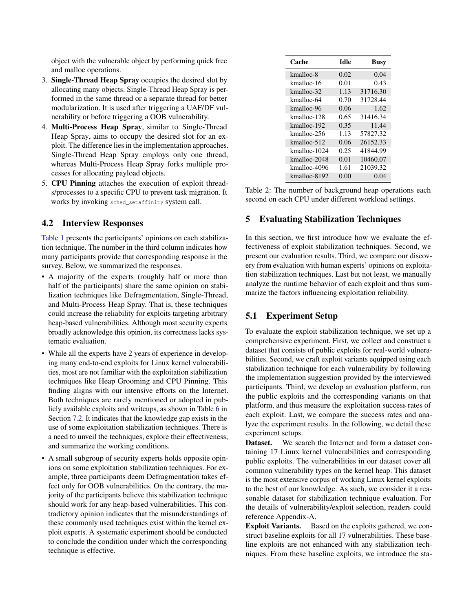object with the vulnerable object by performing quick free and malloc operations.

- 3. Single-Thread Heap Spray occupies the desired slot by allocating many objects. Single-Thread Heap Spray is performed in the same thread or a separate thread for better modularization. It is used after triggering a UAF/DF vulnerability or before triggering a OOB vulnerability.
- 4. Multi-Process Heap Spray, similar to Single-Thread Heap Spray, aims to occupy the desired slot for an exploit. The difference lies in the implementation approaches. Single-Thread Heap Spray employs only one thread, whereas Multi-Process Heap Spray forks multiple processes for allocating payload objects.
- 5. CPU Pinning attaches the execution of exploit threads/processes to a specific CPU to prevent task migration. It works by invoking sched setaffinity system call.

## 4.2 Interview Responses

[Table 1](#page-3-0) presents the participants' opinions on each stabilization technique. The number in the third column indicates how many participants provide that corresponding response in the survey. Below, we summarized the responses.

- A majority of the experts (roughly half or more than half of the participants) share the same opinion on stabilization techniques like Defragmentation, Single-Thread, and Multi-Process Heap Spray. That is, these techniques could increase the reliability for exploits targeting arbitrary heap-based vulnerabilities. Although most security experts broadly acknowledge this opinion, its correctness lacks systematic evaluation.
- While all the experts have 2 years of experience in developing many end-to-end exploits for Linux kernel vulnerabilities, most are not familiar with the exploitation stabilization techniques like Heap Grooming and CPU Pinning. This finding aligns with our intensive efforts on the Internet. Both techniques are rarely mentioned or adopted in publicly available exploits and writeups, as shown in Table [6](#page-11-0) in Section [7.2.](#page-10-0) It indicates that the knowledge gap exists in the use of some exploitation stabilization techniques. There is a need to unveil the techniques, explore their effectiveness, and summarize the working conditions.
- <span id="page-4-0"></span>• A small subgroup of security experts holds opposite opinions on some exploitation stabilization techniques. For example, three participants deem Defragmentation takes effect only for OOB vulnerabilities. On the contrary, the majority of the participants believe this stabilization technique should work for any heap-based vulnerabilities. This contradictory opinion indicates that the misunderstandings of these commonly used techniques exist within the kernel exploit experts. A systematic experiment should be conducted to conclude the condition under which the corresponding technique is effective.

<span id="page-4-1"></span>

| Cache        | <b>Idle</b> | <b>Busy</b> |
|--------------|-------------|-------------|
| kmalloc-8    | 0.02        | 0.04        |
| kmalloc-16   | 0.01        | 0.43        |
| kmalloc-32   | 1.13        | 31716.30    |
| kmalloc-64   | 0.70        | 31728.44    |
| kmalloc-96   | 0.06        | 1.62        |
| kmalloc-128  | 0.65        | 31416.34    |
| kmalloc-192  | 0.35        | 11.44       |
| kmalloc-256  | 1.13        | 57827.32    |
| kmalloc-512  | 0.06        | 26152.33    |
| kmalloc-1024 | 0.25        | 41844.99    |
| kmalloc-2048 | 0.01        | 10460.07    |
| kmalloc-4096 | 1.61        | 21039.32    |
| kmalloc-8192 | 0.00        | 0.04        |

Table 2: The number of background heap operations each second on each CPU under different workload settings.

## 5 Evaluating Stabilization Techniques

In this section, we first introduce how we evaluate the effectiveness of exploit stabilization techniques. Second, we present our evaluation results. Third, we compare our discovery from evaluation with human experts' opinions on exploitation stabilization techniques. Last but not least, we manually analyze the runtime behavior of each exploit and thus summarize the factors influencing exploitation reliability.

## <span id="page-4-2"></span>5.1 Experiment Setup

To evaluate the exploit stabilization technique, we set up a comprehensive experiment. First, we collect and construct a dataset that consists of public exploits for real-world vulnerabilities. Second, we craft exploit variants equipped using each stabilization technique for each vulnerability by following the implementation suggestion provided by the interviewed participants. Third, we develop an evaluation platform, run the public exploits and the corresponding variants on that platform, and thus measure the exploitation success rates of each exploit. Last, we compare the success rates and analyze the experiment results. In the following, we detail these experiment setups.

Dataset. We search the Internet and form a dataset containing 17 Linux kernel vulnerabilities and corresponding public exploits. The vulnerabilities in our dataset cover all common vulnerability types on the kernel heap. This dataset is the most extensive corpus of working Linux kernel exploits to the best of our knowledge. As such, we consider it a reasonable dataset for stabilization technique evaluation. For the details of vulnerability/exploit selection, readers could reference Appendix-A.

Exploit Variants. Based on the exploits gathered, we construct baseline exploits for all 17 vulnerabilities. These baseline exploits are not enhanced with any stabilization techniques. From these baseline exploits, we introduce the sta-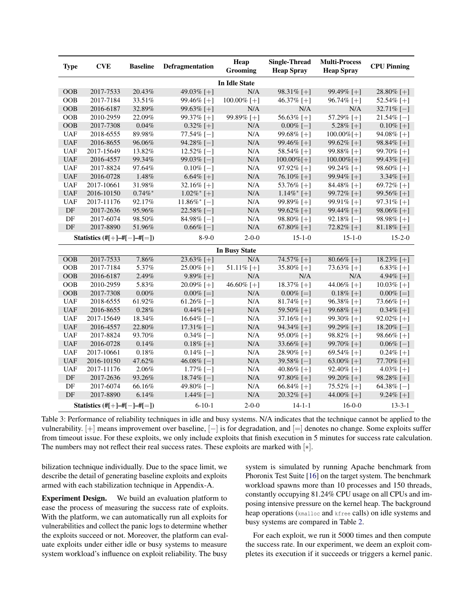<span id="page-5-0"></span>

| <b>Type</b> | <b>CVE</b>                           | <b>Baseline</b> | Defragmentation            | Heap<br><b>Grooming</b> | Single-Thread<br><b>Heap Spray</b> | <b>Multi-Process</b><br><b>Heap Spray</b> | <b>CPU Pinning</b> |
|-------------|--------------------------------------|-----------------|----------------------------|-------------------------|------------------------------------|-------------------------------------------|--------------------|
|             |                                      |                 |                            | <b>In Idle State</b>    |                                    |                                           |                    |
| <b>OOB</b>  | 2017-7533                            | 20.43%          | 49.03% [+]                 | $\overline{N}/A$        | 98.31% [+]                         | 99.49% [+]                                | 28.80% [+]         |
| <b>OOB</b>  | 2017-7184                            | 33.51%          | 99.46% [+]                 | $100.00\%$ [+]          | 46.37% [+]                         | 96.74% [+]                                | 52.54% [+]         |
| <b>OOB</b>  | 2016-6187                            | 32.89%          | 99.63% [+]                 | N/A                     | N/A                                | N/A                                       | $32.71\%$ [-]      |
| <b>OOB</b>  | 2010-2959                            | 22.09%          | 99.37% [+]                 | 99.89% [+]              | 56.63% [+]                         | 57.29% [+]                                | $21.54\%$ [-]      |
| <b>OOB</b>  | 2017-7308                            | 0.04%           | $0.32\%$ [+]               | N/A                     | $0.00\%$ [-]                       | 5.28% [+]                                 | $0.10\%$ [+]       |
| <b>UAF</b>  | 2018-6555                            | 89.98%          | $77.54\%$ [-]              | N/A                     | 99.68% [+]                         | $100.00\%$ [+]                            | 94.08% [+]         |
| <b>UAF</b>  | 2016-8655                            | 96.06%          | $94.28\%$ [-]              | N/A                     | 99.46% [+]                         | 99.62% [+]                                | 98.84% [+]         |
| <b>UAF</b>  | 2017-15649                           | 13.82%          | $12.52\%$ [-]              | N/A                     | 58.54% [+]                         | 99.88% [+]                                | 99.70% [+]         |
| <b>UAF</b>  | 2016-4557                            | 99.34%          | 99.03% $[-]$               | N/A                     | $100.00\%$ [+]                     | $100.00\%$ [+]                            | 99.43\% [+]        |
| <b>UAF</b>  | 2017-8824                            | 97.64%          | $0.10\%$ [-]               | N/A                     | $97.92\%$ [+]                      | 99.24% [+]                                | 98.60% [+]         |
| <b>UAF</b>  | 2016-0728                            | 1.48%           | $6.64\%$ [+]               | N/A                     | 76.10% [+]                         | 99.94% [+]                                | 3.34\% [+]         |
| <b>UAF</b>  | 2017-10661                           | 31.98%          | 32.16% [+]                 | N/A                     | 53.76% [+]                         | 84.48% [ $+$ ]                            | 69.72% [+]         |
| <b>UAF</b>  | 2016-10150                           | $0.74\%$ *      | $1.02\%$ <sup>*</sup> [+]  | N/A                     | $1.14\%$ <sup>*</sup> [+]          | 99.72% [+]                                | 99.56% [+]         |
| <b>UAF</b>  | 2017-11176                           | 92.17%          | $11.86\%$ <sup>*</sup> [-] | N/A                     | 99.89% [+]                         | 99.91% [+]                                | $97.31\%$ [+]      |
| DF          | 2017-2636                            | 95.96%          | 22.58% $[-]$               | N/A                     | 99.62% [+]                         | 99.44% [+]                                | 98.06% [+]         |
| DF          | 2017-6074                            | 98.50%          | 84.98% $[-]$               | N/A                     | 98.80\% [+]                        | $92.18\%$ [-]                             | $98.98\%$ [+]      |
| DF          | 2017-8890                            | 51.96%          | $0.66\%$ [-]               | N/A                     | 67.80% [+]                         | 72.82% [+]                                | $81.18\%$ [+]      |
|             | Statistics $(\#[+] - \#[-] - \#[=])$ |                 | $8-9-0$                    | $2 - 0 - 0$             | $15 - 1 - 0$                       | $15 - 1 - 0$                              | $15 - 2 - 0$       |
|             |                                      |                 |                            | <b>In Busy State</b>    |                                    |                                           |                    |
| <b>OOB</b>  | 2017-7533                            | 7.86%           | 23.63% [+]                 | N/A                     | 74.57% [+]                         | $80.66\%$ [+]                             | 18.23% [+]         |
| <b>OOB</b>  | 2017-7184                            | 5.37%           | 25.00% [+]                 | 51.11% $[+]$            | 35.80% [+]                         | 73.63% [+]                                | $6.83\%$ [+]       |
| <b>OOB</b>  | 2016-6187                            | 2.49%           | $9.89\%$ [+]               | N/A                     | N/A                                | N/A                                       | 4.94\% [+]         |
| <b>OOB</b>  | 2010-2959                            | 5.83%           | 20.09% [+]                 | 46.60% [+]              | 18.37\% [+]                        | 44.06% [+]                                | $10.03\%$ [+]      |
| <b>OOB</b>  | 2017-7308                            | 0.00%           | $0.00\%$ [=]               | N/A                     | $0.00\%$ [=]                       | $0.18\%$ [+]                              | $0.00\%$ [=]       |
| <b>UAF</b>  | 2018-6555                            | 61.92%          | $61.26\%$ [-]              | N/A                     | 81.74% [+]                         | 96.38% [+]                                | 73.66% [+]         |
| <b>UAF</b>  | 2016-8655                            | 0.28%           | $0.44\%$ [+]               | N/A                     | 59.50% [+]                         | 99.68% [+]                                | $0.34\%$ [+]       |
| <b>UAF</b>  | 2017-15649                           | 18.34%          | 16.64% $[-]$               | N/A                     | 37.16% [+]                         | 99.30% [+]                                | 92.02% [+]         |
| <b>UAF</b>  | 2016-4557                            | 22.80%          | 17.31\% [-]                | N/A                     | 94.34\% [+]                        | 99.29% [+]                                | $18.20\%$ [-]      |
| <b>UAF</b>  | 2017-8824                            | 93.70%          | $0.34\%$ [-]               | N/A                     | $95.00\%$ [+]                      | 98.82% [+]                                | 98.66% [+]         |
| <b>UAF</b>  | 2016-0728                            | 0.14%           | $0.18\%$ [+]               | N/A                     | 33.66% [+]                         | 99.70% [+]                                | $0.06\%$ [-]       |
| <b>UAF</b>  | 2017-10661                           | 0.18%           | $0.14\%$ [-]               | N/A                     | 28.90% [+]                         | 69.54% [+]                                | $0.24\%$ [+]       |
| <b>UAF</b>  | 2016-10150                           | 47.62%          | 46.08% $[-]$               | N/A                     | 39.58% $[-]$                       | 63.00% [ $+$ ]                            | $77.70\%$ [+]      |
| <b>UAF</b>  | 2017-11176                           | 2.06%           | $1.77\%$ [-]               | N/A                     | 40.86% [+]                         | 92.40% [+]                                | 4.03% [+]          |
| DF          | 2017-2636                            | 93.26%          | 18.74% $[-]$               | N/A                     | 97.80% [+]                         | 99.20% [+]                                | 98.28% [+]         |
| DF          | 2017-6074                            | 66.16%          | 49.80% $[-]$               | N/A                     | 66.84% [+]                         | $75.52\%$ [+]                             | 64.38% $[-]$       |
| DF          | 2017-8890                            | 6.14%           | 1.44\% $[-]$               | N/A                     | 20.32% [+]                         | 44.00% [+]                                | $9.24\%$ [+]       |
|             | Statistics $(\#[+] - \#[-] - \#[=])$ |                 | $6 - 10 - 1$               | $2 - 0 - 0$             | $14 - 1 - 1$                       | $16-0-0$                                  | $13 - 3 - 1$       |

Table 3: Performance of reliability techniques in idle and busy systems. N/A indicates that the technique cannot be applied to the vulnerability. [+] means improvement over baseline, [−] is for degradation, and [=] denotes no change. Some exploits suffer from timeout issue. For these exploits, we only include exploits that finish execution in 5 minutes for success rate calculation. The numbers may not reflect their real success rates. These exploits are marked with  $[*]$ .

bilization technique individually. Due to the space limit, we describe the detail of generating baseline exploits and exploits armed with each stabilization technique in Appendix-A.

Experiment Design. We build an evaluation platform to ease the process of measuring the success rate of exploits. With the platform, we can automatically run all exploits for vulnerabilities and collect the panic logs to determine whether the exploits succeed or not. Moreover, the platform can evaluate exploits under either idle or busy systems to measure system workload's influence on exploit reliability. The busy

system is simulated by running Apache benchmark from Phoronix Test Suite [\[16\]](#page-14-3) on the target system. The benchmark workload spawns more than 10 processes and 150 threads, constantly occupying 81.24% CPU usage on all CPUs and imposing intensive pressure on the kernel heap. The background heap operations (kmalloc and kfree calls) on idle systems and busy systems are compared in Table [2.](#page-4-1)

For each exploit, we run it 5000 times and then compute the success rate. In our experiment, we deem an exploit completes its execution if it succeeds or triggers a kernel panic.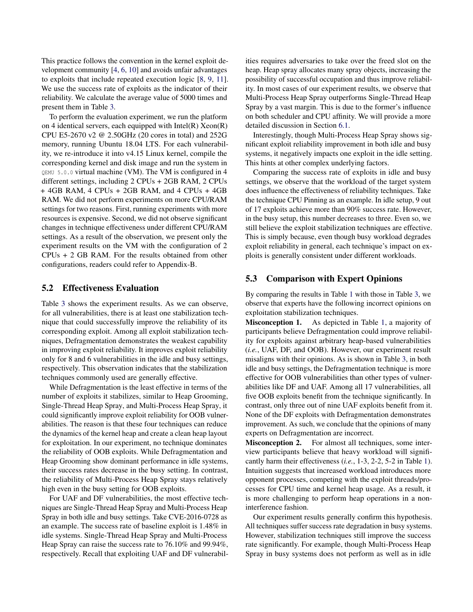This practice follows the convention in the kernel exploit development community [\[4,](#page-14-4) [6,](#page-14-5) [10\]](#page-14-6) and avoids unfair advantages to exploits that include repeated execution logic [\[8,](#page-14-7) [9,](#page-14-8) [11\]](#page-14-9). We use the success rate of exploits as the indicator of their reliability. We calculate the average value of 5000 times and present them in Table [3.](#page-5-0)

To perform the evaluation experiment, we run the platform on 4 identical servers, each equipped with  $Intel(R) Xeon(R)$ CPU E5-2670 v2 @ 2.50GHz (20 cores in total) and 252G memory, running Ubuntu 18.04 LTS. For each vulnerability, we re-introduce it into v4.15 Linux kernel, compile the corresponding kernel and disk image and run the system in QEMU 5.0.0 virtual machine (VM). The VM is configured in 4 different settings, including 2 CPUs + 2GB RAM, 2 CPUs + 4GB RAM, 4 CPUs + 2GB RAM, and 4 CPUs + 4GB RAM. We did not perform experiments on more CPU/RAM settings for two reasons. First, running experiments with more resources is expensive. Second, we did not observe significant changes in technique effectiveness under different CPU/RAM settings. As a result of the observation, we present only the experiment results on the VM with the configuration of 2 CPUs + 2 GB RAM. For the results obtained from other configurations, readers could refer to Appendix-B.

#### 5.2 Effectiveness Evaluation

Table [3](#page-5-0) shows the experiment results. As we can observe, for all vulnerabilities, there is at least one stabilization technique that could successfully improve the reliability of its corresponding exploit. Among all exploit stabilization techniques, Defragmentation demonstrates the weakest capability in improving exploit reliability. It improves exploit reliability only for 8 and 6 vulnerabilities in the idle and busy settings, respectively. This observation indicates that the stabilization techniques commonly used are generally effective.

While Defragmentation is the least effective in terms of the number of exploits it stabilizes, similar to Heap Grooming, Single-Thread Heap Spray, and Multi-Process Heap Spray, it could significantly improve exploit reliability for OOB vulnerabilities. The reason is that these four techniques can reduce the dynamics of the kernel heap and create a clean heap layout for exploitation. In our experiment, no technique dominates the reliability of OOB exploits. While Defragmentation and Heap Grooming show dominant performance in idle systems, their success rates decrease in the busy setting. In contrast, the reliability of Multi-Process Heap Spray stays relatively high even in the busy setting for OOB exploits.

For UAF and DF vulnerabilities, the most effective techniques are Single-Thread Heap Spray and Multi-Process Heap Spray in both idle and busy settings. Take CVE-2016-0728 as an example. The success rate of baseline exploit is 1.48% in idle systems. Single-Thread Heap Spray and Multi-Process Heap Spray can raise the success rate to 76.10% and 99.94%, respectively. Recall that exploiting UAF and DF vulnerabil-

ities requires adversaries to take over the freed slot on the heap. Heap spray allocates many spray objects, increasing the possibility of successful occupation and thus improve reliability. In most cases of our experiment results, we observe that Multi-Process Heap Spray outperforms Single-Thread Heap Spray by a vast margin. This is due to the former's influence on both scheduler and CPU affinity. We will provide a more detailed discussion in Section [6.1.](#page-8-0)

Interestingly, though Multi-Process Heap Spray shows significant exploit reliability improvement in both idle and busy systems, it negatively impacts one exploit in the idle setting. This hints at other complex underlying factors.

Comparing the success rate of exploits in idle and busy settings, we observe that the workload of the target system does influence the effectiveness of reliability techniques. Take the technique CPU Pinning as an example. In idle setup, 9 out of 17 exploits achieve more than 90% success rate. However, in the busy setup, this number decreases to three. Even so, we still believe the exploit stabilization techniques are effective. This is simply because, even though busy workload degrades exploit reliability in general, each technique's impact on exploits is generally consistent under different workloads.

# <span id="page-6-0"></span>5.3 Comparison with Expert Opinions

By comparing the results in Table [1](#page-3-0) with those in Table [3,](#page-5-0) we observe that experts have the following incorrect opinions on exploitation stabilization techniques.

Misconception 1. As depicted in Table [1,](#page-3-0) a majority of participants believe Defragmentation could improve reliability for exploits against arbitrary heap-based vulnerabilities (*i.e.*, UAF, DF, and OOB). However, our experiment result misaligns with their opinions. As is shown in Table [3,](#page-5-0) in both idle and busy settings, the Defragmentation technique is more effective for OOB vulnerabilities than other types of vulnerabilities like DF and UAF. Among all 17 vulnerabilities, all five OOB exploits benefit from the technique significantly. In contrast, only three out of nine UAF exploits benefit from it. None of the DF exploits with Defragmentation demonstrates improvement. As such, we conclude that the opinions of many experts on Defragmentation are incorrect.

Misconception 2. For almost all techniques, some interview participants believe that heavy workload will significantly harm their effectiveness (*i.e.*, 1-3, 2-2, 5-2 in Table [1\)](#page-3-0). Intuition suggests that increased workload introduces more opponent processes, competing with the exploit threads/processes for CPU time and kernel heap usage. As a result, it is more challenging to perform heap operations in a noninterference fashion.

Our experiment results generally confirm this hypothesis. All techniques suffer success rate degradation in busy systems. However, stabilization techniques still improve the success rate significantly. For example, though Multi-Process Heap Spray in busy systems does not perform as well as in idle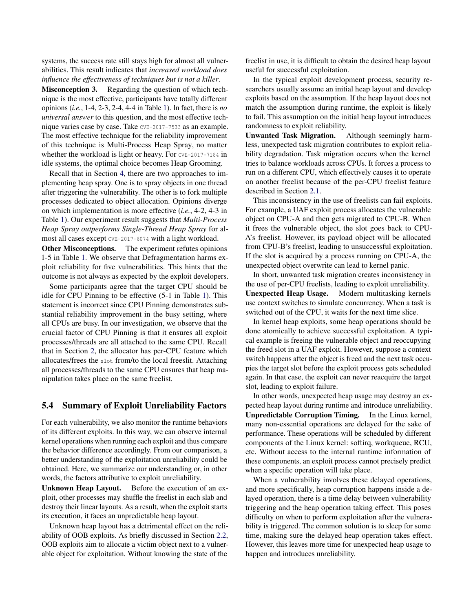systems, the success rate still stays high for almost all vulnerabilities. This result indicates that *increased workload does influence the effectiveness of techniques but is not a killer*.

Misconception 3. Regarding the question of which technique is the most effective, participants have totally different opinions (*i.e.*, 1-4, 2-3, 2-4, 4-4 in Table [1\)](#page-3-0). In fact, there is *no universal answer* to this question, and the most effective technique varies case by case. Take CVE-2017-7533 as an example. The most effective technique for the reliability improvement of this technique is Multi-Process Heap Spray, no matter whether the workload is light or heavy. For CVE-2017-7184 in idle systems, the optimal choice becomes Heap Grooming.

Recall that in Section [4,](#page-2-0) there are two approaches to implementing heap spray. One is to spray objects in one thread after triggering the vulnerability. The other is to fork multiple processes dedicated to object allocation. Opinions diverge on which implementation is more effective (*i.e.*, 4-2, 4-3 in Table [1\)](#page-3-0). Our experiment result suggests that *Multi-Process Heap Spray outperforms Single-Thread Heap Spray* for almost all cases except CVE-2017-6074 with a light workload.

Other Misconceptions. The experiment refutes opinions 1-5 in Table [1.](#page-3-0) We observe that Defragmentation harms exploit reliability for five vulnerabilities. This hints that the outcome is not always as expected by the exploit developers.

Some participants agree that the target CPU should be idle for CPU Pinning to be effective (5-1 in Table [1\)](#page-3-0). This statement is incorrect since CPU Pinning demonstrates substantial reliability improvement in the busy setting, where all CPUs are busy. In our investigation, we observe that the crucial factor of CPU Pinning is that it ensures all exploit processes/threads are all attached to the same CPU. Recall that in Section [2,](#page-1-1) the allocator has per-CPU feature which allocates/frees the slot from/to the local freeslit. Attaching all processes/threads to the same CPU ensures that heap manipulation takes place on the same freelist.

### <span id="page-7-0"></span>5.4 Summary of Exploit Unreliability Factors

For each vulnerability, we also monitor the runtime behaviors of its different exploits. In this way, we can observe internal kernel operations when running each exploit and thus compare the behavior difference accordingly. From our comparison, a better understanding of the exploitation unreliability could be obtained. Here, we summarize our understanding or, in other words, the factors attributive to exploit unreliability.

Unknown Heap Layout. Before the execution of an exploit, other processes may shuffle the freelist in each slab and destroy their linear layouts. As a result, when the exploit starts its execution, it faces an unpredictable heap layout.

Unknown heap layout has a detrimental effect on the reliability of OOB exploits. As briefly discussed in Section [2.2,](#page-1-2) OOB exploits aim to allocate a victim object next to a vulnerable object for exploitation. Without knowing the state of the

freelist in use, it is difficult to obtain the desired heap layout useful for successful exploitation.

In the typical exploit development process, security researchers usually assume an initial heap layout and develop exploits based on the assumption. If the heap layout does not match the assumption during runtime, the exploit is likely to fail. This assumption on the initial heap layout introduces randomness to exploit reliability.

Unwanted Task Migration. Although seemingly harmless, unexpected task migration contributes to exploit reliability degradation. Task migration occurs when the kernel tries to balance workloads across CPUs. It forces a process to run on a different CPU, which effectively causes it to operate on another freelist because of the per-CPU freelist feature described in Section [2.1.](#page-1-3)

This inconsistency in the use of freelists can fail exploits. For example, a UAF exploit process allocates the vulnerable object on CPU-A and then gets migrated to CPU-B. When it frees the vulnerable object, the slot goes back to CPU-A's freelist. However, its payload object will be allocated from CPU-B's freelist, leading to unsuccessful exploitation. If the slot is acquired by a process running on CPU-A, the unexpected object overwrite can lead to kernel panic.

In short, unwanted task migration creates inconsistency in the use of per-CPU freelists, leading to exploit unreliability. Unexpected Heap Usage. Modern multitasking kernels use context switches to simulate concurrency. When a task is switched out of the CPU, it waits for the next time slice.

In kernel heap exploits, some heap operations should be done atomically to achieve successful exploitation. A typical example is freeing the vulnerable object and reoccupying the freed slot in a UAF exploit. However, suppose a context switch happens after the object is freed and the next task occupies the target slot before the exploit process gets scheduled again. In that case, the exploit can never reacquire the target slot, leading to exploit failure.

In other words, unexpected heap usage may destroy an expected heap layout during runtime and introduce unreliability. Unpredictable Corruption Timing. In the Linux kernel, many non-essential operations are delayed for the sake of performance. These operations will be scheduled by different components of the Linux kernel: softirq, workqueue, RCU, etc. Without access to the internal runtime information of these components, an exploit process cannot precisely predict when a specific operation will take place.

<span id="page-7-1"></span>When a vulnerability involves these delayed operations, and more specifically, heap corruption happens inside a delayed operation, there is a time delay between vulnerability triggering and the heap operation taking effect. This poses difficulty on when to perform exploitation after the vulnerability is triggered. The common solution is to sleep for some time, making sure the delayed heap operation takes effect. However, this leaves more time for unexpected heap usage to happen and introduces unreliability.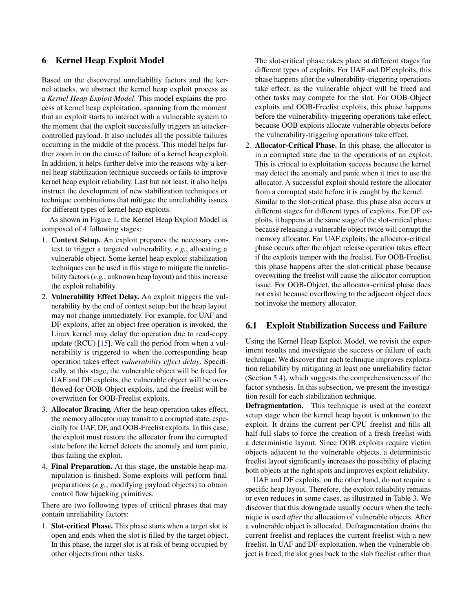## 6 Kernel Heap Exploit Model

Based on the discovered unreliability factors and the kernel attacks, we abstract the kernel heap exploit process as a *Kernel Heap Exploit Model*. This model explains the process of kernel heap exploitation, spanning from the moment that an exploit starts to interact with a vulnerable system to the moment that the exploit successfully triggers an attackercontrolled payload. It also includes all the possible failures occurring in the middle of the process. This model helps further zoom in on the cause of failure of a kernel heap exploit. In addition, it helps further delve into the reasons why a kernel heap stabilization technique succeeds or fails to improve kernel heap exploit reliability. Last but not least, it also helps instruct the development of new stabilization techniques or technique combinations that mitigate the unreliability issues for different types of kernel heap exploits.

As shown in Figure [1,](#page-9-1) the Kernel Heap Exploit Model is composed of 4 following stages:

- 1. Context Setup. An exploit prepares the necessary context to trigger a targeted vulnerability, *e.g.*, allocating a vulnerable object. Some kernel heap exploit stabilization techniques can be used in this stage to mitigate the unreliability factors (*e.g.*, unknown heap layout) and thus increase the exploit reliability.
- 2. Vulnerability Effect Delay. An exploit triggers the vulnerability by the end of context setup, but the heap layout may not change immediately. For example, for UAF and DF exploits, after an object free operation is invoked, the Linux kernel may delay the operation due to read-copy update (RCU) [\[15\]](#page-14-10). We call the period from when a vulnerability is triggered to when the corresponding heap operation takes effect *vulnerability effect delay*. Specifically, at this stage, the vulnerable object will be freed for UAF and DF exploits, the vulnerable object will be overflowed for OOB-Object exploits, and the freelist will be overwritten for OOB-Freelist exploits.
- 3. Allocator Bracing. After the heap operation takes effect, the memory allocator may transit to a corrupted state, especially for UAF, DF, and OOB-Freelist exploits. In this case, the exploit must restore the allocator from the corrupted state before the kernel detects the anomaly and turn panic, thus failing the exploit.
- 4. Final Preparation. At this stage, the unstable heap manipulation is finished. Some exploits will perform final preparations (*e.g.*, modifying payload objects) to obtain control flow hijacking primitives.

There are two following types of critical phrases that may contain unreliability factors:

1. Slot-critical Phase. This phase starts when a target slot is open and ends when the slot is filled by the target object. In this phase, the target slot is at risk of being occupied by other objects from other tasks.

The slot-critical phase takes place at different stages for different types of exploits. For UAF and DF exploits, this phase happens after the vulnerability-triggering operations take effect, as the vulnerable object will be freed and other tasks may compete for the slot. For OOB-Object exploits and OOB-Freelist exploits, this phase happens before the vulnerability-triggering operations take effect, because OOB exploits allocate vulnerable objects before the vulnerability-triggering operations take effect.

2. Allocator-Critical Phase. In this phase, the allocator is in a corrupted state due to the operations of an exploit. This is critical to exploitation success because the kernel may detect the anomaly and panic when it tries to use the allocator. A successful exploit should restore the allocator from a corrupted state before it is caught by the kernel. Similar to the slot-critical phase, this phase also occurs at different stages for different types of exploits. For DF exploits, it happens at the same stage of the slot-critical phase because releasing a vulnerable object twice will corrupt the memory allocator. For UAF exploits, the allocator-critical phase occurs after the object release operation takes effect if the exploits tamper with the freelist. For OOB-Freelist, this phase happens after the slot-critical phase because overwriting the freelist will cause the allocator corruption issue. For OOB-Object, the allocator-critical phase does not exist because overflowing to the adjacent object does not invoke the memory allocator.

#### <span id="page-8-0"></span>6.1 Exploit Stabilization Success and Failure

Using the Kernel Heap Exploit Model, we revisit the experiment results and investigate the success or failure of each technique. We discover that each technique improves exploitation reliability by mitigating at least one unreliability factor (Section [5.4\)](#page-7-0), which suggests the comprehensiveness of the factor synthesis. In this subsection, we present the investigation result for each stabilization technique.

Defragmentation. This technique is used at the context setup stage when the kernel heap layout is unknown to the exploit. It drains the current per-CPU freelist and fills all half-full slabs to force the creation of a fresh freelist with a deterministic layout. Since OOB exploits require victim objects adjacent to the vulnerable objects, a deterministic freelist layout significantly increases the possibility of placing both objects at the right spots and improves exploit reliability.

UAF and DF exploits, on the other hand, do not require a specific heap layout. Therefore, the exploit reliability remains or even reduces in some cases, as illustrated in Table [3.](#page-5-0) We discover that this downgrade usually occurs when the technique is used *after* the allocation of vulnerable objects. After a vulnerable object is allocated, Defragmentation drains the current freelist and replaces the current freelist with a new freelist. In UAF and DF exploitation, when the vulnerable object is freed, the slot goes back to the slab freelist rather than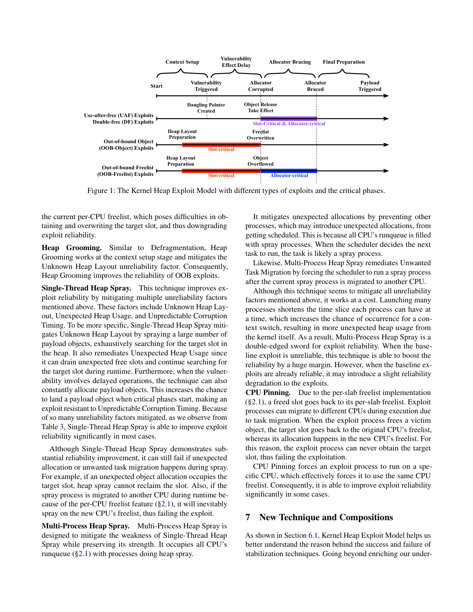<span id="page-9-1"></span>

Figure 1: The Kernel Heap Exploit Model with different types of exploits and the critical phases.

the current per-CPU freelist, which poses difficulties in obtaining and overwriting the target slot, and thus downgrading exploit reliability.

Heap Grooming. Similar to Defragmentation, Heap Grooming works at the context setup stage and mitigates the Unknown Heap Layout unreliability factor. Consequently, Heap Grooming improves the reliability of OOB exploits.

Single-Thread Heap Spray. This technique improves exploit reliability by mitigating multiple unreliability factors mentioned above. These factors include Unknown Heap Layout, Unexpected Heap Usage, and Unpredictable Corruption Timing. To be more specific, Single-Thread Heap Spray mitigates Unknown Heap Layout by spraying a large number of payload objects, exhaustively searching for the target slot in the heap. It also remediates Unexpected Heap Usage since it can drain unexpected free slots and continue searching for the target slot during runtime. Furthermore, when the vulnerability involves delayed operations, the technique can also constantly allocate payload objects. This increases the chance to land a payload object when critical phases start, making an exploit resistant to Unpredictable Corruption Timing. Because of so many unreliability factors mitigated, as we observe from Table [3,](#page-5-0) Single-Thread Heap Spray is able to improve exploit reliability significantly in most cases.

Although Single-Thread Heap Spray demonstrates substantial reliability improvement, it can still fail if unexpected allocation or unwanted task migration happens during spray. For example, if an unexpected object allocation occupies the target slot, heap spray cannot reclaim the slot. Also, if the spray process is migrated to another CPU during runtime because of the per-CPU freelist feature ([§2.1\)](#page-1-3), it will inevitably spray on the new CPU's freelist, thus failing the exploit.

Multi-Process Heap Spray. Multi-Process Heap Spray is designed to mitigate the weakness of Single-Thread Heap Spray while preserving its strength. It occupies all CPU's runqueue ([§2.1\)](#page-1-3) with processes doing heap spray.

It mitigates unexpected allocations by preventing other processes, which may introduce unexpected allocations, from getting scheduled. This is because all CPU's runqueue is filled with spray processes. When the scheduler decides the next task to run, the task is likely a spray process.

Likewise, Multi-Process Heap Spray remediates Unwanted Task Migration by forcing the scheduler to run a spray process after the current spray process is migrated to another CPU.

Although this technique seems to mitigate all unreliability factors mentioned above, it works at a cost. Launching many processes shortens the time slice each process can have at a time, which increases the chance of occurrence for a context switch, resulting in more unexpected heap usage from the kernel itself. As a result, Multi-Process Heap Spray is a double-edged sword for exploit reliability. When the baseline exploit is unreliable, this technique is able to boost the reliability by a huge margin. However, when the baseline exploits are already reliable, it may introduce a slight reliability degradation to the exploits.

CPU Pinning. Due to the per-slab freelist implementation ([§2.1\)](#page-1-3), a freed slot goes back to its per-slab freelist. Exploit processes can migrate to different CPUs during execution due to task migration. When the exploit process frees a victim object, the target slot goes back to the original CPU's freelist, whereas its allocation happens in the new CPU's freelist. For this reason, the exploit process can never obtain the target slot, thus failing the exploitation.

CPU Pinning forces an exploit process to run on a specific CPU, which effectively forces it to use the same CPU freelist. Consequently, it is able to improve exploit reliability significantly in some cases.

## <span id="page-9-0"></span>7 New Technique and Compositions

As shown in Section [6.1,](#page-8-0) Kernel Heap Exploit Model helps us better understand the reason behind the success and failure of stabilization techniques. Going beyond enriching our under-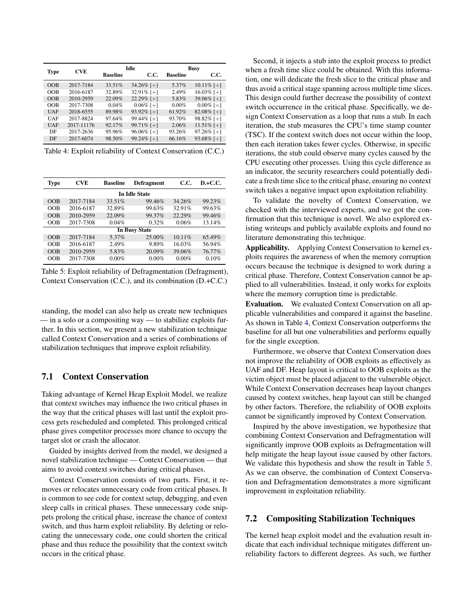<span id="page-10-1"></span>

|             |            |                 | Idle          | <b>Busy</b>     |               |  |
|-------------|------------|-----------------|---------------|-----------------|---------------|--|
| <b>Type</b> | <b>CVE</b> | <b>Baseline</b> | C.C.          | <b>Baseline</b> | C.C.          |  |
| OOB         | 2017-7184  | $33.51\%$       | 34.26% [+]    | 5.37%           | $10.11\%$ [+] |  |
| OOB         | 2016-6187  | 32.89%          | 32.91% [+]    | 2.49%           | 16.03% [+]    |  |
| OOB         | 2010-2959  | 22.09%          | 22.29% [+]    | 5.83%           | 39.06% [+]    |  |
| OOB         | 2017-7308  | 0.04%           | $0.06\%$ [+1] | $0.00\%$        | $0.00\%$ [=1  |  |
| <b>UAF</b>  | 2018-6555  | 89.98%          | 93.92% [+]    | 61.92%          | 82.08% [+]    |  |
| UAF         | 2017-8824  | 97.64%          | 99.44% [+]    | 93.70%          | 98.82% [+]    |  |
| <b>UAF</b>  | 2017-11176 | 92.17%          | 99.71% [+]    | 2.06%           | $11.51\%$ [+] |  |
| DF          | 2017-2636  | 95.96%          | $96.06\%$ [+] | 93.26%          | $97.26\%$ [+] |  |
| DF          | 2017-6074  | 98.50%          | 99.24% [+]    | 66.16%          | 93.68% [+]    |  |

Table 4: Exploit reliability of Context Conservation (C.C.)

<span id="page-10-2"></span>

| Type | <b>CVE</b><br><b>Baseline</b> |          | <b>Defragment</b>    | C.C.     | $D.+C.C.$ |
|------|-------------------------------|----------|----------------------|----------|-----------|
|      |                               |          | <b>In Idle State</b> |          |           |
| OOB  | 2017-7184                     | 33.51%   | 99.46%               | 34.26%   | 99.23%    |
| OOB  | 2016-6187                     | 32.89%   | 99.63%               | 32.91%   | 99.63%    |
| OOB  | 2010-2959                     | 22.09%   | 99.37%               | 22.29%   | 99.46%    |
| OOB  | 2017-7308                     | 0.04%    | 0.32%                | 0.06%    | 13.14%    |
|      |                               |          | <b>In Busy State</b> |          |           |
| OOB  | 2017-7184                     | 5.37%    | 25.00%               | 10.11%   | 65.49%    |
| OOB  | 2016-6187                     | 2.49%    | 9.89%                | 16.03%   | 56.94%    |
| OOB  | 2010-2959                     | 5.83%    | 20.09%               | 39.06%   | 76.77%    |
| OOB  | 2017-7308                     | $0.00\%$ | $0.00\%$             | $0.00\%$ | 0.10%     |

Table 5: Exploit reliability of Defragmentation (Defragment), Context Conservation (C.C.), and its combination (D.+C.C.)

standing, the model can also help us create new techniques — in a solo or a compositing way — to stabilize exploits further. In this section, we present a new stabilization technique called Context Conservation and a series of combinations of stabilization techniques that improve exploit reliability.

## 7.1 Context Conservation

Taking advantage of Kernel Heap Exploit Model, we realize that context switches may influence the two critical phases in the way that the critical phases will last until the exploit process gets rescheduled and completed. This prolonged critical phase gives competitor processes more chance to occupy the target slot or crash the allocator.

Guided by insights derived from the model, we designed a novel stabilization technique — Context Conservation — that aims to avoid context switches during critical phases.

Context Conservation consists of two parts. First, it removes or relocates unnecessary code from critical phases. It is common to see code for context setup, debugging, and even sleep calls in critical phases. These unnecessary code snippets prolong the critical phase, increase the chance of context switch, and thus harm exploit reliability. By deleting or relocating the unnecessary code, one could shorten the critical phase and thus reduce the possibility that the context switch occurs in the critical phase.

Second, it injects a stub into the exploit process to predict when a fresh time slice could be obtained. With this information, one will dedicate the fresh slice to the critical phase and thus avoid a critical stage spanning across multiple time slices. This design could further decrease the possibility of context switch occurrence in the critical phase. Specifically, we design Context Conservation as a loop that runs a stub. In each iteration, the stub measures the CPU's time stamp counter (TSC). If the context switch does not occur within the loop, then each iteration takes fewer cycles. Otherwise, in specific iterations, the stub could observe many cycles caused by the CPU executing other processes. Using this cycle difference as an indicator, the security researchers could potentially dedicate a fresh time slice to the critical phase, ensuring no context switch takes a negative impact upon exploitation reliability.

To validate the novelty of Context Conservation, we checked with the interviewed experts, and we got the confirmation that this technique is novel. We also explored existing writeups and publicly available exploits and found no literature demonstrating this technique.

Applicability. Applying Context Conservation to kernel exploits requires the awareness of when the memory corruption occurs because the technique is designed to work during a critical phase. Therefore, Context Conservation cannot be applied to all vulnerabilities. Instead, it only works for exploits where the memory corruption time is predictable.

Evaluation. We evaluated Context Conservation on all applicable vulnerabilities and compared it against the baseline. As shown in Table [4,](#page-10-1) Context Conservation outperforms the baseline for all but one vulnerabilities and performs equally for the single exception.

Furthermore, we observe that Context Conservation does not improve the reliability of OOB exploits as effectively as UAF and DF. Heap layout is critical to OOB exploits as the victim object must be placed adjacent to the vulnerable object. While Context Conservation decreases heap layout changes caused by context switches, heap layout can still be changed by other factors. Therefore, the reliability of OOB exploits cannot be significantly improved by Context Conservation.

Inspired by the above investigation, we hypothesize that combining Context Conservation and Defragmentation will significantly improve OOB exploits as Defragmentation will help mitigate the heap layout issue caused by other factors. We validate this hypothesis and show the result in Table [5.](#page-10-2) As we can observe, the combination of Context Conservation and Defragmentation demonstrates a more significant improvement in exploitation reliability.

# <span id="page-10-0"></span>7.2 Compositing Stabilization Techniques

The kernel heap exploit model and the evaluation result indicate that each individual technique mitigates different unreliability factors to different degrees. As such, we further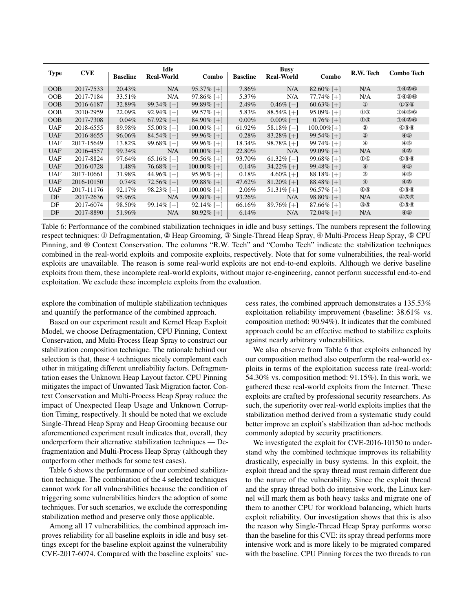<span id="page-11-0"></span>

| <b>Type</b> | <b>CVE</b> | <b>Baseline</b> | Idle<br><b>Real-World</b> | <b>Combo</b>   | <b>Baseline</b> | <b>Busy</b><br><b>Real-World</b> | Combo          | R.W. Tech        | Combo Tech     |
|-------------|------------|-----------------|---------------------------|----------------|-----------------|----------------------------------|----------------|------------------|----------------|
| OOB         | 2017-7533  | 20.43%          | N/A                       | $95.37\%$ [+]  | 7.86%           | N/A                              | 82.60% [+]     | N/A              | 0466           |
| <b>OOB</b>  | 2017-7184  | 33.51\%         | N/A                       | $97.86\%$ [+]  | 5.37%           | N/A                              | $77.74\%$ [+]  | N/A              | 1000           |
| OOB         | 2016-6187  | 32.89%          | 99.34\% [+]               | 99.89% [+]     | 2.49%           | $0.46\%$ [-]                     | $60.63\%$ [+]  | $\mathbf{D}$     | 056            |
| OOB         | 2010-2959  | 22.09%          | $92.94\%$ [+]             | $99.57\%$ [+]  | 5.83%           | $88.54\%$ [+]                    | $95.09\%$ [+]  | $\mathcal{D}(3)$ | 0466           |
| OOB         | 2017-7308  | $0.04\%$        | $67.92\%$ [+]             | 84.90% [+]     | $0.00\%$        | $0.00\%$ [=]                     | $0.76\%$ [+]   | $\mathbf{0}$     | 0466           |
| <b>UAF</b>  | 2018-6555  | 89.98%          | $55.00\%$ [-1]            | 100.00% [+]    | 61.92%          | $58.18\%$ [-1]                   | $100.00\%$ [+] | $\circled{3}$    | 4000           |
| <b>UAF</b>  | 2016-8655  | 96.06%          | $84.54\%$ [-1]            | $99.96\%$ [+]  | $0.28\%$        | $83.28\%$ [+]                    | $99.54\%$ [+]  | $\circled{3}$    | $\circledcirc$ |
| <b>UAF</b>  | 2017-15649 | 13.82%          | 99.68% [+]                | $99.96\%$ [+]  | 18.34%          | $98.78\%$ [+1]                   | 99.74% [+]     | $\circled{4}$    | $\circledast$  |
| UAF         | 2016-4557  | 99.34%          | N/A                       | 100.00% [+]    | 22.80%          | N/A                              | $99.09\%$ [+]  | N/A              | $\circledcirc$ |
| <b>UAF</b>  | 2017-8824  | 97.64%          | $65.16\%$ [-1]            | $99.56\%$ [+]  | 93.70%          | $61.32\%$ [-1]                   | 99.68% [+]     | $\mathbf{0}$     | 4000           |
| <b>UAF</b>  | 2016-0728  | 1.48%           | 76.68% [+]                | $100.00\%$ [+] | 0.14%           | $34.22\%$ [+]                    | 99.48% [+]     | $\circled{4}$    | $\circledast$  |
| UAF         | 2017-10661 | 31.98%          | 44.96% [ $+$ ]            | $95.96\%$ [+]  | $0.18\%$        | 4.60\% [+]                       | $88.18\%$ [+]  | $\circled{3}$    | $\circledast$  |
| <b>UAF</b>  | 2016-10150 | $0.74\%$        | 72.56% [ $+$ ]            | 99.88% [ $+$ ] | 47.62%          | $81.20\%$ [+]                    | 88.48% [+]     | $\circled{4}$    | $\circledcirc$ |
| <b>UAF</b>  | 2017-11176 | 92.17%          | $98.23\%$ [+]             | $100.00\%$ [+] | 2.06%           | $51.31\%$ [+]                    | $96.57\%$ [+]  | $\circledast$    | 4000           |
| DF          | 2017-2636  | 95.96%          | N/A                       | 99.80\% [+]    | 93.26%          | N/A                              | 98.80% [+]     | N/A              | 466            |
| DF          | 2017-6074  | 98.50%          | 99.14\% [+]               | $92.14\%$ [-1] | 66.16%          | $89.76\%$ [+]                    | $87.66\%$ [+]  | $\circledcirc$   | 466            |
| DF          | 2017-8890  | 51.96%          | N/A                       | $80.92\%$ [+]  | $6.14\%$        | N/A                              | 72.04\% [+]    | N/A              | $\circledcirc$ |

Table 6: Performance of the combined stabilization techniques in idle and busy settings. The numbers represent the following respect techniques: ① Defragmentation, ② Heap Grooming, ③ Single-Thread Heap Spray, ④ Multi-Process Heap Spray, ⑤ CPU Pinning, and ⑥ Context Conservation. The columns "R.W. Tech" and "Combo Tech" indicate the stabilization techniques combined in the real-world exploits and composite exploits, respectively. Note that for some vulnerabilities, the real-world exploits are unavailable. The reason is some real-world exploits are not end-to-end exploits. Although we derive baseline exploits from them, these incomplete real-world exploits, without major re-engineering, cannot perform successful end-to-end exploitation. We exclude these incomplete exploits from the evaluation.

explore the combination of multiple stabilization techniques and quantify the performance of the combined approach.

Based on our experiment result and Kernel Heap Exploit Model, we choose Defragmentation, CPU Pinning, Context Conservation, and Multi-Process Heap Spray to construct our stabilization composition technique. The rationale behind our selection is that, these 4 techniques nicely complement each other in mitigating different unreliability factors. Defragmentation eases the Unknown Heap Layout factor. CPU Pinning mitigates the impact of Unwanted Task Migration factor. Context Conservation and Multi-Process Heap Spray reduce the impact of Unexpected Heap Usage and Unknown Corruption Timing, respectively. It should be noted that we exclude Single-Thread Heap Spray and Heap Grooming because our aforementioned experiment result indicates that, overall, they underperform their alternative stabilization techniques — Defragmentation and Multi-Process Heap Spray (although they outperform other methods for some test cases).

Table [6](#page-11-0) shows the performance of our combined stabilization technique. The combination of the 4 selected techniques cannot work for all vulnerabilities because the condition of triggering some vulnerabilities hinders the adoption of some techniques. For such scenarios, we exclude the corresponding stabilization method and preserve only those applicable.

Among all 17 vulnerabilities, the combined approach improves reliability for all baseline exploits in idle and busy settings except for the baseline exploit against the vulnerability CVE-2017-6074. Compared with the baseline exploits' success rates, the combined approach demonstrates a 135.53% exploitation reliability improvement (baseline: 38.61% vs. composition method: 90.94%). It indicates that the combined approach could be an effective method to stabilize exploits against nearly arbitrary vulnerabilities.

We also observe from Table [6](#page-11-0) that exploits enhanced by our composition method also outperform the real-world exploits in terms of the exploitation success rate (real-world: 54.30% vs. composition method: 91.15%). In this work, we gathered these real-world exploits from the Internet. These exploits are crafted by professional security researchers. As such, the superiority over real-world exploits implies that the stabilization method derived from a systematic study could better improve an exploit's stabilization than ad-hoc methods commonly adopted by security practitioners.

We investigated the exploit for CVE-2016-10150 to understand why the combined technique improves its reliability drastically, especially in busy systems. In this exploit, the exploit thread and the spray thread must remain different due to the nature of the vulnerability. Since the exploit thread and the spray thread both do intensive work, the Linux kernel will mark them as both heavy tasks and migrate one of them to another CPU for workload balancing, which hurts exploit reliability. Our investigation shows that this is also the reason why Single-Thread Heap Spray performs worse than the baseline for this CVE: its spray thread performs more intensive work and is more likely to be migrated compared with the baseline. CPU Pinning forces the two threads to run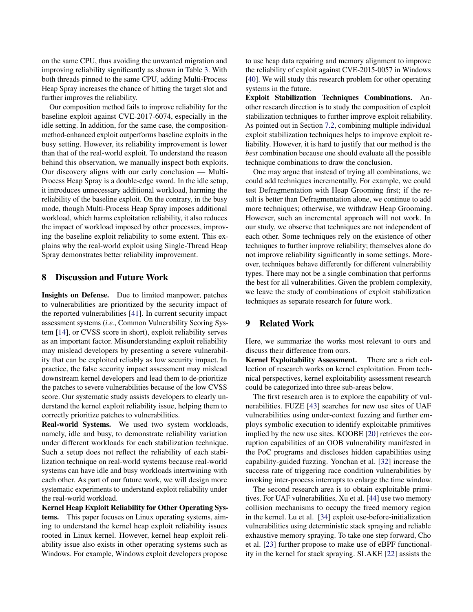on the same CPU, thus avoiding the unwanted migration and improving reliability significantly as shown in Table [3.](#page-5-0) With both threads pinned to the same CPU, adding Multi-Process Heap Spray increases the chance of hitting the target slot and further improves the reliability.

Our composition method fails to improve reliability for the baseline exploit against CVE-2017-6074, especially in the idle setting. In addition, for the same case, the compositionmethod-enhanced exploit outperforms baseline exploits in the busy setting. However, its reliability improvement is lower than that of the real-world exploit. To understand the reason behind this observation, we manually inspect both exploits. Our discovery aligns with our early conclusion — Multi-Process Heap Spray is a double-edge sword. In the idle setup, it introduces unnecessary additional workload, harming the reliability of the baseline exploit. On the contrary, in the busy mode, though Multi-Process Heap Spray imposes additional workload, which harms exploitation reliability, it also reduces the impact of workload imposed by other processes, improving the baseline exploit reliability to some extent. This explains why the real-world exploit using Single-Thread Heap Spray demonstrates better reliability improvement.

#### 8 Discussion and Future Work

Insights on Defense. Due to limited manpower, patches to vulnerabilities are prioritized by the security impact of the reported vulnerabilities [\[41\]](#page-15-4). In current security impact assessment systems (*i.e.*, Common Vulnerability Scoring System [\[14\]](#page-14-11), or CVSS score in short), exploit reliability serves as an important factor. Misunderstanding exploit reliability may mislead developers by presenting a severe vulnerability that can be exploited reliably as low security impact. In practice, the false security impact assessment may mislead downstream kernel developers and lead them to de-prioritize the patches to severe vulnerabilities because of the low CVSS score. Our systematic study assists developers to clearly understand the kernel exploit reliability issue, helping them to correctly prioritize patches to vulnerabilities.

Real-world Systems. We used two system workloads, namely, idle and busy, to demonstrate reliability variation under different workloads for each stabilization technique. Such a setup does not reflect the reliability of each stabilization technique on real-world systems because real-world systems can have idle and busy workloads intertwining with each other. As part of our future work, we will design more systematic experiments to understand exploit reliability under the real-world workload.

Kernel Heap Exploit Reliability for Other Operating Systems. This paper focuses on Linux operating systems, aiming to understand the kernel heap exploit reliability issues rooted in Linux kernel. However, kernel heap exploit reliability issue also exists in other operating systems such as Windows. For example, Windows exploit developers propose

to use heap data repairing and memory alignment to improve the reliability of exploit against CVE-2015-0057 in Windows [\[40\]](#page-15-5). We will study this research problem for other operating systems in the future.

Exploit Stabilization Techniques Combinations. Another research direction is to study the composition of exploit stabilization techniques to further improve exploit reliability. As pointed out in Section [7.2,](#page-10-0) combining multiple individual exploit stabilization techniques helps to improve exploit reliability. However, it is hard to justify that our method is the *best* combination because one should evaluate all the possible technique combinations to draw the conclusion.

One may argue that instead of trying all combinations, we could add techniques incrementally. For example, we could test Defragmentation with Heap Grooming first; if the result is better than Defragmentation alone, we continue to add more techniques; otherwise, we withdraw Heap Grooming. However, such an incremental approach will not work. In our study, we observe that techniques are not independent of each other. Some techniques rely on the existence of other techniques to further improve reliability; themselves alone do not improve reliability significantly in some settings. Moreover, techniques behave differently for different vulnerability types. There may not be a single combination that performs the best for all vulnerabilities. Given the problem complexity, we leave the study of combinations of exploit stabilization techniques as separate research for future work.

#### 9 Related Work

Here, we summarize the works most relevant to ours and discuss their difference from ours.

Kernel Exploitability Assessment. There are a rich collection of research works on kernel exploitation. From technical perspectives, kernel exploitability assessment research could be categorized into three sub-areas below.

The first research area is to explore the capability of vulnerabilities. FUZE [\[43\]](#page-15-1) searches for new use sites of UAF vulnerabilities using under-context fuzzing and further employs symbolic execution to identify exploitable primitives implied by the new use sites. KOOBE [\[20\]](#page-14-12) retrieves the corruption capabilities of an OOB vulnerability manifested in the PoC programs and discloses hidden capabilities using capability-guided fuzzing. Yonchan et al. [\[32\]](#page-14-13) increase the success rate of triggering race condition vulnerabilities by invoking inter-process interrupts to enlarge the time window.

The second research area is to obtain exploitable primitives. For UAF vulnerabilities, Xu et al. [\[44\]](#page-15-3) use two memory collision mechanisms to occupy the freed memory region in the kernel. Lu et al. [\[34\]](#page-15-6) exploit use-before-initialization vulnerabilities using deterministic stack spraying and reliable exhaustive memory spraying. To take one step forward, Cho et al. [\[23\]](#page-14-14) further propose to make use of eBPF functionality in the kernel for stack spraying. SLAKE [\[22\]](#page-14-15) assists the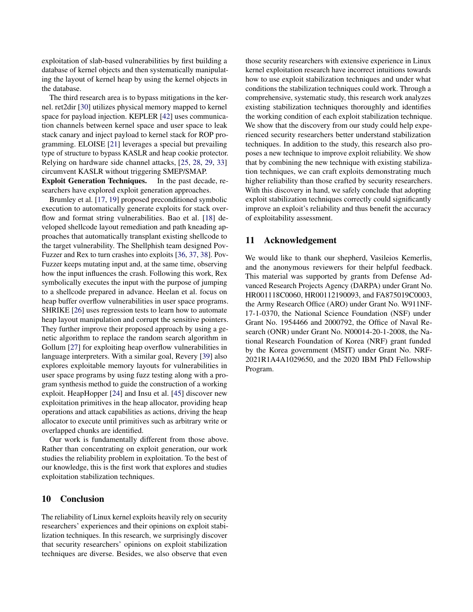exploitation of slab-based vulnerabilities by first building a database of kernel objects and then systematically manipulating the layout of kernel heap by using the kernel objects in the database.

The third research area is to bypass mitigations in the kernel. ret2dir [\[30\]](#page-14-1) utilizes physical memory mapped to kernel space for payload injection. KEPLER [\[42\]](#page-15-0) uses communication channels between kernel space and user space to leak stack canary and inject payload to kernel stack for ROP programming. ELOISE [\[21\]](#page-14-0) leverages a special but prevailing type of structure to bypass KASLR and heap cookie protector. Relying on hardware side channel attacks, [\[25,](#page-14-16) [28,](#page-14-17) [29,](#page-14-18) [33\]](#page-14-19) circumvent KASLR without triggering SMEP/SMAP. Exploit Generation Techniques. In the past decade, re-

searchers have explored exploit generation approaches.

Brumley et al. [\[17,](#page-14-20) [19\]](#page-14-21) proposed preconditioned symbolic execution to automatically generate exploits for stack overflow and format string vulnerabilities. Bao et al. [\[18\]](#page-14-22) developed shellcode layout remediation and path kneading approaches that automatically transplant existing shellcode to the target vulnerability. The Shellphish team designed Pov-Fuzzer and Rex to turn crashes into exploits [\[36,](#page-15-7) [37,](#page-15-8) [38\]](#page-15-9). Pov-Fuzzer keeps mutating input and, at the same time, observing how the input influences the crash. Following this work, Rex symbolically executes the input with the purpose of jumping to a shellcode prepared in advance. Heelan et al. focus on heap buffer overflow vulnerabilities in user space programs. SHRIKE [\[26\]](#page-14-23) uses regression tests to learn how to automate heap layout manipulation and corrupt the sensitive pointers. They further improve their proposed approach by using a genetic algorithm to replace the random search algorithm in Gollum [\[27\]](#page-14-24) for exploiting heap overflow vulnerabilities in language interpreters. With a similar goal, Revery [\[39\]](#page-15-10) also explores exploitable memory layouts for vulnerabilities in user space programs by using fuzz testing along with a program synthesis method to guide the construction of a working exploit. HeapHopper [\[24\]](#page-14-25) and Insu et al. [\[45\]](#page-15-11) discover new exploitation primitives in the heap allocator, providing heap operations and attack capabilities as actions, driving the heap allocator to execute until primitives such as arbitrary write or overlapped chunks are identified.

Our work is fundamentally different from those above. Rather than concentrating on exploit generation, our work studies the reliability problem in exploitation. To the best of our knowledge, this is the first work that explores and studies exploitation stabilization techniques.

## 10 Conclusion

The reliability of Linux kernel exploits heavily rely on security researchers' experiences and their opinions on exploit stabilization techniques. In this research, we surprisingly discover that security researchers' opinions on exploit stabilization techniques are diverse. Besides, we also observe that even

those security researchers with extensive experience in Linux kernel exploitation research have incorrect intuitions towards how to use exploit stabilization techniques and under what conditions the stabilization techniques could work. Through a comprehensive, systematic study, this research work analyzes existing stabilization techniques thoroughly and identifies the working condition of each exploit stabilization technique. We show that the discovery from our study could help experienced security researchers better understand stabilization techniques. In addition to the study, this research also proposes a new technique to improve exploit reliability. We show that by combining the new technique with existing stabilization techniques, we can craft exploits demonstrating much higher reliability than those crafted by security researchers. With this discovery in hand, we safely conclude that adopting exploit stabilization techniques correctly could significantly improve an exploit's reliability and thus benefit the accuracy of exploitability assessment.

### 11 Acknowledgement

We would like to thank our shepherd, Vasileios Kemerlis, and the anonymous reviewers for their helpful feedback. This material was supported by grants from Defense Advanced Research Projects Agency (DARPA) under Grant No. HR001118C0060, HR00112190093, and FA875019C0003, the Army Research Office (ARO) under Grant No. W911NF-17-1-0370, the National Science Foundation (NSF) under Grant No. 1954466 and 2000792, the Office of Naval Research (ONR) under Grant No. N00014-20-1-2008, the National Research Foundation of Korea (NRF) grant funded by the Korea government (MSIT) under Grant No. NRF-2021R1A4A1029650, and the 2020 IBM PhD Fellowship Program.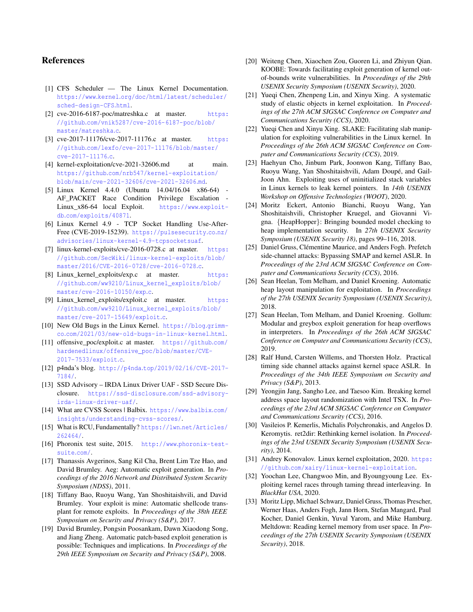## References

- <span id="page-14-2"></span>[1] CFS Scheduler — The Linux Kernel Documentation. https://www.kernel.[org/doc/html/latest/scheduler/](https://www.kernel.org/doc/html/latest/scheduler/sched-design-CFS.html) [sched-design-CFS](https://www.kernel.org/doc/html/latest/scheduler/sched-design-CFS.html).html.
- <span id="page-14-29"></span>[2] cve-2016-6187-poc/matreshka.c at master. [https:](https://github.com/vnik5287/cve-2016-6187-poc/blob/master/matreshka.c) //github.[com/vnik5287/cve-2016-6187-poc/blob/](https://github.com/vnik5287/cve-2016-6187-poc/blob/master/matreshka.c) [master/matreshka](https://github.com/vnik5287/cve-2016-6187-poc/blob/master/matreshka.c).c.
- <span id="page-14-26"></span>[3] cve-2017-11176/cve-2017-11176.c at master. [https:](https://github.com/lexfo/cve-2017-11176/blob/master/cve-2017-11176.c) //github.[com/lexfo/cve-2017-11176/blob/master/](https://github.com/lexfo/cve-2017-11176/blob/master/cve-2017-11176.c) [cve-2017-11176](https://github.com/lexfo/cve-2017-11176/blob/master/cve-2017-11176.c).c.
- <span id="page-14-4"></span>[4] kernel-exploitation/cve-2021-32606.md at main. https://github.[com/nrb547/kernel-exploitation/](https://github.com/nrb547/kernel-exploitation/blob/main/cve-2021-32606/cve-2021-32606.md) [blob/main/cve-2021-32606/cve-2021-32606](https://github.com/nrb547/kernel-exploitation/blob/main/cve-2021-32606/cve-2021-32606.md).md.
- <span id="page-14-30"></span>[5] Linux Kernel 4.4.0 (Ubuntu 14.04/16.04 x86-64) - AF\_PACKET Race Condition Privilege Escalation - Linux\_x86-64 local Exploit. [https://www](https://www.exploit-db.com/exploits/40871).exploitdb.[com/exploits/40871](https://www.exploit-db.com/exploits/40871).
- <span id="page-14-5"></span>[6] Linux Kernel 4.9 - TCP Socket Handling Use-After-Free (CVE-2019-15239). [https://pulsesecurity](https://pulsesecurity.co.nz/advisories/linux-kernel-4.9-tcpsocketsuaf).co.nz/ [advisories/linux-kernel-4](https://pulsesecurity.co.nz/advisories/linux-kernel-4.9-tcpsocketsuaf).9-tcpsocketsuaf.
- <span id="page-14-27"></span>[7] linux-kernel-exploits/cve-2016-0728.c at master. [https:](https://github.com/SecWiki/linux-kernel-exploits/blob/master/2016/CVE-2016-0728/cve-2016-0728.c) //github.[com/SecWiki/linux-kernel-exploits/blob/](https://github.com/SecWiki/linux-kernel-exploits/blob/master/2016/CVE-2016-0728/cve-2016-0728.c) [master/2016/CVE-2016-0728/cve-2016-0728](https://github.com/SecWiki/linux-kernel-exploits/blob/master/2016/CVE-2016-0728/cve-2016-0728.c).c.
- <span id="page-14-7"></span>[8] Linux\_kernel\_exploits/exp.c at master. [https:](https://github.com/ww9210/Linux_kernel_exploits/blob/master/cve-2016-10150/exp.c) //github.[com/ww9210/Linux\\_kernel\\_exploits/blob/](https://github.com/ww9210/Linux_kernel_exploits/blob/master/cve-2016-10150/exp.c) [master/cve-2016-10150/exp](https://github.com/ww9210/Linux_kernel_exploits/blob/master/cve-2016-10150/exp.c).c.
- <span id="page-14-8"></span>[9] Linux\_kernel\_exploits/exploit.c at master. [https:](https://github.com/ww9210/Linux_kernel_exploits/blob/master/cve-2017-15649/exploit.c) //github.[com/ww9210/Linux\\_kernel\\_exploits/blob/](https://github.com/ww9210/Linux_kernel_exploits/blob/master/cve-2017-15649/exploit.c) [master/cve-2017-15649/exploit](https://github.com/ww9210/Linux_kernel_exploits/blob/master/cve-2017-15649/exploit.c).c.
- <span id="page-14-6"></span>[10] New Old Bugs in the Linux Kernel. [https://blog](https://blog.grimm-co.com/2021/03/new-old-bugs-in-linux-kernel.html).grimmco.[com/2021/03/new-old-bugs-in-linux-kernel](https://blog.grimm-co.com/2021/03/new-old-bugs-in-linux-kernel.html).html.
- <span id="page-14-9"></span>[11] offensive\_poc/exploit.c at master. [https://github](https://github.com/hardenedlinux/offensive_poc/blob/master/CVE-2017-7533/exploit.c).com/ [hardenedlinux/offensive\\_poc/blob/master/CVE-](https://github.com/hardenedlinux/offensive_poc/blob/master/CVE-2017-7533/exploit.c)[2017-7533/exploit](https://github.com/hardenedlinux/offensive_poc/blob/master/CVE-2017-7533/exploit.c).c.
- <span id="page-14-31"></span>[12] p4nda's blog. http://p4nda.[top/2019/02/16/CVE-2017-](http://p4nda.top/2019/02/16/CVE-2017-7184/) [7184/](http://p4nda.top/2019/02/16/CVE-2017-7184/).
- <span id="page-14-28"></span>[13] SSD Advisory – IRDA Linux Driver UAF - SSD Secure Disclosure. [https://ssd-disclosure](https://ssd-disclosure.com/ssd-advisory-irda-linux-driver-uaf/).com/ssd-advisory[irda-linux-driver-uaf/](https://ssd-disclosure.com/ssd-advisory-irda-linux-driver-uaf/).
- <span id="page-14-11"></span>[14] What are CVSS Scores | Balbix. [https://www](https://www.balbix.com/insights/understanding-cvss-scores/).balbix.com/ [insights/understanding-cvss-scores/](https://www.balbix.com/insights/understanding-cvss-scores/).
- <span id="page-14-10"></span>[15] What is RCU, Fundamentally? https://lwn.[net/Articles/](https://lwn.net/Articles/262464/) [262464/](https://lwn.net/Articles/262464/).
- <span id="page-14-3"></span>[16] Phoronix test suite, 2015. http://www.[phoronix-test](http://www.phoronix-test-suite.com/)[suite](http://www.phoronix-test-suite.com/).com/.
- <span id="page-14-20"></span>[17] Thanassis Avgerinos, Sang Kil Cha, Brent Lim Tze Hao, and David Brumley. Aeg: Automatic exploit generation. In *Proceedings of the 2016 Network and Distributed System Security Symposium (NDSS)*, 2011.
- <span id="page-14-22"></span>[18] Tiffany Bao, Ruoyu Wang, Yan Shoshitaishvili, and David Brumley. Your exploit is mine: Automatic shellcode transplant for remote exploits. In *Proceedings of the 38th IEEE Symposium on Security and Privacy (S&P)*, 2017.
- <span id="page-14-21"></span>[19] David Brumley, Pongsin Poosankam, Dawn Xiaodong Song, and Jiang Zheng. Automatic patch-based exploit generation is possible: Techniques and implications. In *Proceedings of the 29th IEEE Symposium on Security and Privacy (S&P)*, 2008.
- <span id="page-14-12"></span>[20] Weiteng Chen, Xiaochen Zou, Guoren Li, and Zhiyun Oian. KOOBE: Towards facilitating exploit generation of kernel outof-bounds write vulnerabilities. In *Proceedings of the 29th USENIX Security Symposium (USENIX Security)*, 2020.
- <span id="page-14-0"></span>[21] Yueqi Chen, Zhenpeng Lin, and Xinyu Xing. A systematic study of elastic objects in kernel exploitation. In *Proceedings of the 27th ACM SIGSAC Conference on Computer and Communications Security (CCS)*, 2020.
- <span id="page-14-15"></span>[22] Yueqi Chen and Xinyu Xing. SLAKE: Facilitating slab manipulation for exploiting vulnerabilities in the Linux kernel. In *Proceedings of the 26th ACM SIGSAC Conference on Computer and Communications Security (CCS)*, 2019.
- <span id="page-14-14"></span>[23] Haehyun Cho, Jinbum Park, Joonwon Kang, Tiffany Bao, Ruoyu Wang, Yan Shoshitaishvili, Adam Doupé, and Gail-Joon Ahn. Exploiting uses of uninitialized stack variables in Linux kernels to leak kernel pointers. In *14th USENIX Workshop on Offensive Technologies (WOOT)*, 2020.
- <span id="page-14-25"></span>[24] Moritz Eckert, Antonio Bianchi, Ruoyu Wang, Yan Shoshitaishvili, Christopher Kruegel, and Giovanni Vigna. {HeapHopper}: Bringing bounded model checking to heap implementation security. In *27th USENIX Security Symposium (USENIX Security 18)*, pages 99–116, 2018.
- <span id="page-14-16"></span>[25] Daniel Gruss, Clémentine Maurice, and Anders Fogh. Prefetch side-channel attacks: Bypassing SMAP and kernel ASLR. In *Proceedings of the 23rd ACM SIGSAC Conference on Computer and Communications Security (CCS)*, 2016.
- <span id="page-14-23"></span>[26] Sean Heelan, Tom Melham, and Daniel Kroening. Automatic heap layout manipulation for exploitation. In *Proceedings of the 27th USENIX Security Symposium (USENIX Security)*, 2018.
- <span id="page-14-24"></span>[27] Sean Heelan, Tom Melham, and Daniel Kroening. Gollum: Modular and greybox exploit generation for heap overflows in interpreters. In *Proceedings of the 26th ACM SIGSAC Conference on Computer and Communications Security (CCS)*, 2019.
- <span id="page-14-17"></span>[28] Ralf Hund, Carsten Willems, and Thorsten Holz. Practical timing side channel attacks against kernel space ASLR. In *Proceedings of the 34th IEEE Symposium on Security and Privacy (S&P)*, 2013.
- <span id="page-14-18"></span>[29] Yeongjin Jang, Sangho Lee, and Taesoo Kim. Breaking kernel address space layout randomization with Intel TSX. In *Proceedings of the 23rd ACM SIGSAC Conference on Computer and Communications Security (CCS)*, 2016.
- <span id="page-14-1"></span>[30] Vasileios P. Kemerlis, Michalis Polychronakis, and Angelos D. Keromytis. ret2dir: Rethinking kernel isolation. In *Proceedings of the 23rd USENIX Security Symposium (USENIX Security)*, 2014.
- <span id="page-14-32"></span>[31] Andrey Konovalov. Linux kernel exploitation, 2020. [https:](https://github.com/xairy/linux-kernel-exploitation) //github.[com/xairy/linux-kernel-exploitation](https://github.com/xairy/linux-kernel-exploitation).
- <span id="page-14-13"></span>[32] Yoochan Lee, Changwoo Min, and Byoungyoung Lee. Exploiting kernel races through taming thread interleaving. In *BlackHat USA*, 2020.
- <span id="page-14-19"></span>[33] Moritz Lipp, Michael Schwarz, Daniel Gruss, Thomas Prescher, Werner Haas, Anders Fogh, Jann Horn, Stefan Mangard, Paul Kocher, Daniel Genkin, Yuval Yarom, and Mike Hamburg. Meltdown: Reading kernel memory from user space. In *Proceedings of the 27th USENIX Security Symposium (USENIX Security)*, 2018.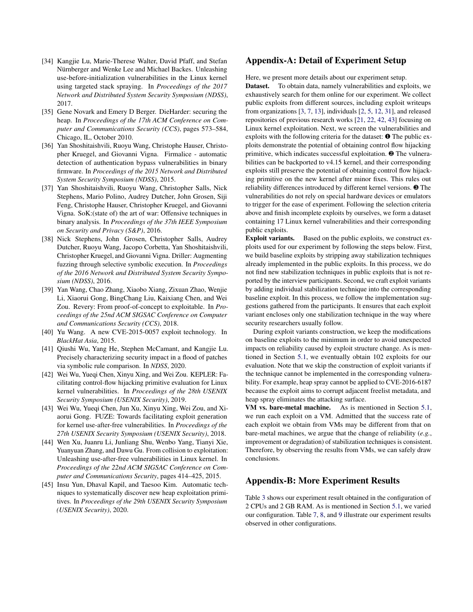- <span id="page-15-6"></span>[34] Kangjie Lu, Marie-Therese Walter, David Pfaff, and Stefan Nürnberger and Wenke Lee and Michael Backes. Unleashing use-before-initialization vulnerabilities in the Linux kernel using targeted stack spraying. In *Proceedings of the 2017 Network and Distributed System Security Symposium (NDSS)*, 2017.
- <span id="page-15-2"></span>[35] Gene Novark and Emery D Berger. DieHarder: securing the heap. In *Proceedings of the 17th ACM Conference on Computer and Communications Security (CCS)*, pages 573–584, Chicago, IL, October 2010.
- <span id="page-15-7"></span>[36] Yan Shoshitaishvili, Ruoyu Wang, Christophe Hauser, Christopher Kruegel, and Giovanni Vigna. Firmalice - automatic detection of authentication bypass vulnerabilities in binary firmware. In *Proceedings of the 2015 Network and Distributed System Security Symposium (NDSS)*, 2015.
- <span id="page-15-8"></span>[37] Yan Shoshitaishvili, Ruoyu Wang, Christopher Salls, Nick Stephens, Mario Polino, Audrey Dutcher, John Grosen, Siji Feng, Christophe Hauser, Christopher Kruegel, and Giovanni Vigna. SoK:(state of) the art of war: Offensive techniques in binary analysis. In *Proceedings of the 37th IEEE Symposium on Security and Privacy (S&P)*, 2016.
- <span id="page-15-9"></span>[38] Nick Stephens, John Grosen, Christopher Salls, Audrey Dutcher, Ruoyu Wang, Jacopo Corbetta, Yan Shoshitaishvili, Christopher Kruegel, and Giovanni Vigna. Driller: Augmenting fuzzing through selective symbolic execution. In *Proceedings of the 2016 Network and Distributed System Security Symposium (NDSS)*, 2016.
- <span id="page-15-10"></span>[39] Yan Wang, Chao Zhang, Xiaobo Xiang, Zixuan Zhao, Wenjie Li, Xiaorui Gong, BingChang Liu, Kaixiang Chen, and Wei Zou. Revery: From proof-of-concept to exploitable. In *Proceedings of the 25nd ACM SIGSAC Conference on Computer and Communications Security (CCS)*, 2018.
- <span id="page-15-5"></span>[40] Yu Wang. A new CVE-2015-0057 exploit technology. In *BlackHat Asia*, 2015.
- <span id="page-15-4"></span>[41] Qiushi Wu, Yang He, Stephen McCamant, and Kangjie Lu. Precisely characterizing security impact in a flood of patches via symbolic rule comparison. In *NDSS*, 2020.
- <span id="page-15-0"></span>[42] Wei Wu, Yueqi Chen, Xinyu Xing, and Wei Zou. KEPLER: Facilitating control-flow hijacking primitive evaluation for Linux kernel vulnerabilities. In *Proceedings of the 28th USENIX Security Symposium (USENIX Security)*, 2019.
- <span id="page-15-1"></span>[43] Wei Wu, Yueqi Chen, Jun Xu, Xinyu Xing, Wei Zou, and Xiaorui Gong. FUZE: Towards facilitating exploit generation for kernel use-after-free vulnerabilities. In *Proceedings of the 27th USENIX Security Symposium (USENIX Security)*, 2018.
- <span id="page-15-3"></span>[44] Wen Xu, Juanru Li, Junliang Shu, Wenbo Yang, Tianyi Xie, Yuanyuan Zhang, and Dawu Gu. From collision to exploitation: Unleashing use-after-free vulnerabilities in Linux kernel. In *Proceedings of the 22nd ACM SIGSAC Conference on Computer and Communications Security*, pages 414–425, 2015.
- <span id="page-15-11"></span>[45] Insu Yun, Dhaval Kapil, and Taesoo Kim. Automatic techniques to systematically discover new heap exploitation primitives. In *Proceedings of the 29th USENIX Security Symposium (USENIX Security)*, 2020.

#### Appendix-A: Detail of Experiment Setup

Here, we present more details about our experiment setup.

Dataset. To obtain data, namely vulnerabilities and exploits, we exhaustively search for them online for our experiment. We collect public exploits from different sources, including exploit writeups from organizations [\[3,](#page-14-26) [7,](#page-14-27) [13\]](#page-14-28), individuals [\[2,](#page-14-29) [5,](#page-14-30) [12,](#page-14-31) [31\]](#page-14-32), and released repositories of previous research works [\[21,](#page-14-0) [22,](#page-14-15) [42,](#page-15-0) [43\]](#page-15-1) focusing on Linux kernel exploitation. Next, we screen the vulnerabilities and exploits with the following criteria for the dataset: ❶ The public exploits demonstrate the potential of obtaining control flow hijacking primitive, which indicates successful exploitation. ❷ The vulnerabilities can be backported to v4.15 kernel, and their corresponding exploits still preserve the potential of obtaining control flow hijacking primitive on the new kernel after minor fixes. This rules out reliability differences introduced by different kernel versions. ❸ The vulnerabilities do not rely on special hardware devices or emulators to trigger for the ease of experiment. Following the selection criteria above and finish incomplete exploits by ourselves, we form a dataset containing 17 Linux kernel vulnerabilities and their corresponding public exploits.

Exploit variants. Based on the public exploits, we construct exploits used for our experiment by following the steps below. First, we build baseline exploits by stripping away stabilization techniques already implemented in the public exploits. In this process, we do not find new stabilization techniques in public exploits that is not reported by the interview participants. Second, we craft exploit variants by adding individual stabilization technique into the corresponding baseline exploit. In this process, we follow the implementation suggestions gathered from the participants. It ensures that each exploit variant encloses only one stabilization technique in the way where security researchers usually follow.

During exploit variants construction, we keep the modifications on baseline exploits to the minimum in order to avoid unexpected impacts on reliability caused by exploit structure change. As is mentioned in Section [5.1,](#page-4-2) we eventually obtain 102 exploits for our evaluation. Note that we skip the construction of exploit variants if the technique cannot be implemented in the corresponding vulnerability. For example, heap spray cannot be applied to CVE-2016-6187 because the exploit aims to corrupt adjacent freelist metadata, and heap spray eliminates the attacking surface.

VM vs. bare-metal machine. As is mentioned in Section [5.1,](#page-4-2) we run each exploit on a VM. Admitted that the success rate of each exploit we obtain from VMs may be different from that on bare-metal machines, we argue that the change of reliability (*e.g.*, improvement or degradation) of stabilization techniques is consistent. Therefore, by observing the results from VMs, we can safely draw conclusions.

# Appendix-B: More Experiment Results

Table [3](#page-5-0) shows our experiment result obtained in the configuration of 2 CPUs and 2 GB RAM. As is mentioned in Section [5.1,](#page-4-2) we varied our configuration. Table [7,](#page-16-1) [8,](#page-17-0) and [9](#page-17-1) illustrate our experiment results observed in other configurations.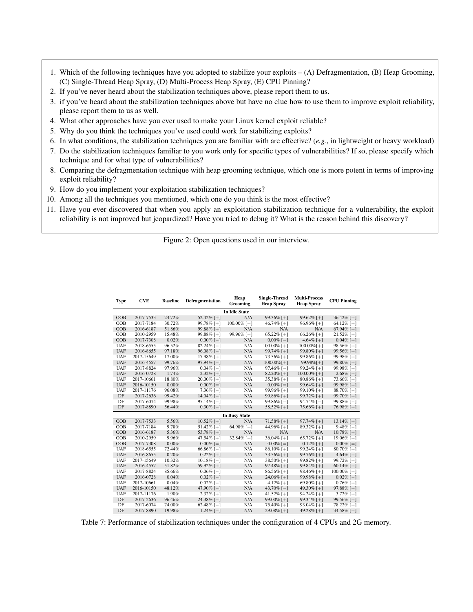- <span id="page-16-0"></span>1. Which of the following techniques have you adopted to stabilize your exploits – (A) Defragmentation, (B) Heap Grooming, (C) Single-Thread Heap Spray, (D) Multi-Process Heap Spray, (E) CPU Pinning?
- 2. If you've never heard about the stabilization techniques above, please report them to us.
- 3. if you've heard about the stabilization techniques above but have no clue how to use them to improve exploit reliability, please report them to us as well.
- 4. What other approaches have you ever used to make your Linux kernel exploit reliable?
- 5. Why do you think the techniques you've used could work for stabilizing exploits?
- 6. In what conditions, the stabilization techniques you are familiar with are effective? (*e.g.*, in lightweight or heavy workload)
- 7. Do the stabilization techniques familiar to you work only for specific types of vulnerabilities? If so, please specify which technique and for what type of vulnerabilities?
- 8. Comparing the defragmentation technique with heap grooming technique, which one is more potent in terms of improving exploit reliability?
- 9. How do you implement your exploitation stabilization techniques?
- 10. Among all the techniques you mentioned, which one do you think is the most effective?
- 11. Have you ever discovered that when you apply an exploitation stabilization technique for a vulnerability, the exploit reliability is not improved but jeopardized? Have you tried to debug it? What is the reason behind this discovery?

Figure 2: Open questions used in our interview.

<span id="page-16-1"></span>

| <b>Type</b> | <b>CVE</b> | <b>Baseline</b> | <b>Defragmentation</b> | Heap<br>Grooming     | <b>Single-Thread</b><br><b>Heap Spray</b> | <b>Multi-Process</b><br><b>Heap Spray</b> | <b>CPU Pinning</b> |
|-------------|------------|-----------------|------------------------|----------------------|-------------------------------------------|-------------------------------------------|--------------------|
|             |            |                 |                        | <b>In Idle State</b> |                                           |                                           |                    |
| OOB         | 2017-7533  | 24.72%          | $52.42\%$ [+]          | N/A                  | $99.36\%$ [+]                             | $99.62\%$ [+]                             | $36.42\%$ [+]      |
| <b>OOB</b>  | 2017-7184  | 30.72%          | 99.78% [+]             | 100.00% [+]          | 46.74% [ $+$ ]                            | $96.96\%$ [+]                             | 64.12% [ $+$ ]     |
| OOB         | 2016-6187  | 51.86%          | 99.88% [+]             | N/A                  | N/A                                       | N/A                                       | $67.94\%$ [+]      |
| <b>OOB</b>  | 2010-2959  | 15.48%          | 99.88% [+]             | 99.96% [+]           | $65.22\%$ [+]                             | 66.26% [+]                                | $21.52\%$ [+]      |
| OOB         | 2017-7308  | 0.02%           | $0.00\%$ [-]           | N/A                  | $0.00\%$ [-]                              | 4.64% [ $+$ ]                             | $0.04\%$ [+]       |
| UAF         | 2018-6555  | 96.52%          | $82.24\%$ [-]          | N/A                  | $100.00\%$ [+]                            | $100.00\%$ [+]                            | $98.56\%$ [+]      |
| <b>UAF</b>  | 2016-8655  | 97.18%          | $96.08\%$ [-1]         | N/A                  | 99.74% [+]                                | 99.80% [+]                                | 99.56% [ $+$ ]     |
| UAF         | 2017-15649 | 17.00%          | 17.98% [+]             | N/A                  | 73.56% [+]                                | 99.86% [+]                                | 99.98% [+]         |
| <b>UAF</b>  | 2016-4557  | 99.76%          | $97.94\%$ [-]          | N/A                  | $100.00\%$ [+]                            | 99.98% [+]                                | 99.80% [ $+$ ]     |
| UAF         | 2017-8824  | 97.96%          | $0.04\%$ [-1]          | N/A                  | $97.46\%$ [-1]                            | $99.24\%$ [+]                             | 99.98% [+]         |
| <b>UAF</b>  | 2016-0728  | 1.74%           | $2.32\%$ [+]           | N/A                  | 82.20% [+]                                | $100.00\%$ [+]                            | $2.68\%$ [+]       |
| UAF         | 2017-10661 | 18.80%          | $20.00\%$ [+]          | N/A                  | $35.38\%$ [+]                             | $80.86\%$ [+]                             | 73.66% [ $+$ ]     |
| <b>UAF</b>  | 2016-10150 | 0.00%           | $0.00\%$ [=]           | N/A                  | $0.00\%$ [=]                              | 99.64% [ $+$ ]                            | $99.98\%$ [+]      |
| UAF         | 2017-11176 | 96.08%          | $7.36\%$ [-]           | N/A                  | $99.96\%$ [+]                             | 99.10% [ $+$ ]                            | $88.70\%$ [-1]     |
| DF          | 2017-2636  | 99.42%          | $14.04\%$ [-]          | N/A                  | 99.86% [ $+$ ]                            | $99.72\%$ [+]                             | 99.70% [ $+$ ]     |
| DF          | 2017-6074  | 99.98%          | $95.14\%$ [-]          | N/A                  | 99.86% $[-]$                              | $94.74\%$ [-]                             | $99.88\%$ [-]      |
| DF          | 2017-8890  | 56.44%          | $0.30\%$ [-1]          | N/A                  | $58.52\%$ [+]                             | 75.66% [+]                                | 76.98% [ $+$ ]     |
|             |            |                 |                        | <b>In Busy State</b> |                                           |                                           |                    |
| OOB         | 2017-7533  | 5.56%           | $10.52\%$ [+]          | N/A                  | $71.58\%$ [+]                             | $97.74\%$ [+]                             | 13.14\% [+]        |
| OOB         | 2017-7184  | 9.78%           | $51.42\%$ [+]          | 64.98% [+]           | 44.96% [+]                                | 89.32% [+]                                | $9.48\%$ [-]       |
| OOB         | 2016-6187  | 5.36%           | 53.78% [ $+$ ]         | N/A                  | N/A                                       | N/A                                       | $10.78\%$ [+]      |
| <b>OOB</b>  | 2010-2959  | 9.96%           | 47.54% [+]             | 32.84% [+]           | 36.04% [+]                                | 65.72% [+]                                | 19.06% [+]         |
| <b>OOB</b>  | 2017-7308  | 0.00%           | $0.00\%$ [=]           | N/A                  | $0.00\%$ [=]                              | $0.12\%$ [+]                              | $0.00\%$ [=]       |
| UAF         | 2018-6555  | 72.44%          | $66.86\%$ [-]          | N/A                  | $86.10\%$ [+]                             | 99.24% [+]                                | $80.70\%$ [+]      |
| <b>UAF</b>  | 2016-8655  | 0.20%           | $0.22\%$ [+]           | N/A                  | $33.56\%$ [+]                             | 99.76% [ $+$ ]                            | 4.64% [+]          |
| UAF         | 2017-15649 | 10.32%          | $10.18\%$ [-]          | N/A                  | $38.50\%$ [+]                             | 99.82% [+]                                | 99.72% [+]         |
| <b>UAF</b>  | 2016-4557  | 51.82%          | 59.92% [ $+$ ]         | N/A                  | $97.48\%$ [+]                             | 99.84% [ $+$ ]                            | $60.14\%$ [+]      |
| UAF         | 2017-8824  | 85.66%          | $0.06\%$ [-1]          | N/A                  | $86.56\%$ [+]                             | 98.46% [+]                                | $100.00\%$ [+]     |
| <b>UAF</b>  | 2016-0728  | 0.04%           | $0.02\%$ [-1]          | N/A                  | 24.06% [+]                                | 99.98% [+]                                | $0.02\%$ [-1]      |
| UAF         | 2017-10661 | 0.04%           | $0.02\%$ [-1]          | N/A                  | 4.12% [ $+$ ]                             | $69.80\%$ [+]                             | $0.76\%$ [+]       |
| <b>UAF</b>  | 2016-10150 | 48.12%          | 47.90% $[-]$           | N/A                  | 43.70% $[-]$                              | 49.30% [+]                                | 97.88% [+]         |
| UAF         | 2017-11176 | 1.90%           | $2.32\%$ [+]           | N/A                  | 41.52% [+]                                | 94.24% [+]                                | $3.72\%$ [+]       |
| DF          | 2017-2636  | 96.46%          | $24.38\%$ [-]          | N/A                  | $99.00\%$ [+]                             | 99.34% [ $+$ ]                            | $99.56\%$ [+]      |
| DF          | 2017-6074  | 74.00%          | $62.48\%$ [-1]         | N/A                  | $75.40\%$ [+]                             | $93.04\%$ [+]                             | $78.22\%$ [+]      |
| DF          | 2017-8890  | 19.98%          | $1.24\%$ [-]           | N/A                  | 29.08% [ $+$ ]                            | 49.28% [+]                                | 34.58% [ $+$ ]     |

Table 7: Performance of stabilization techniques under the configuration of 4 CPUs and 2G memory.